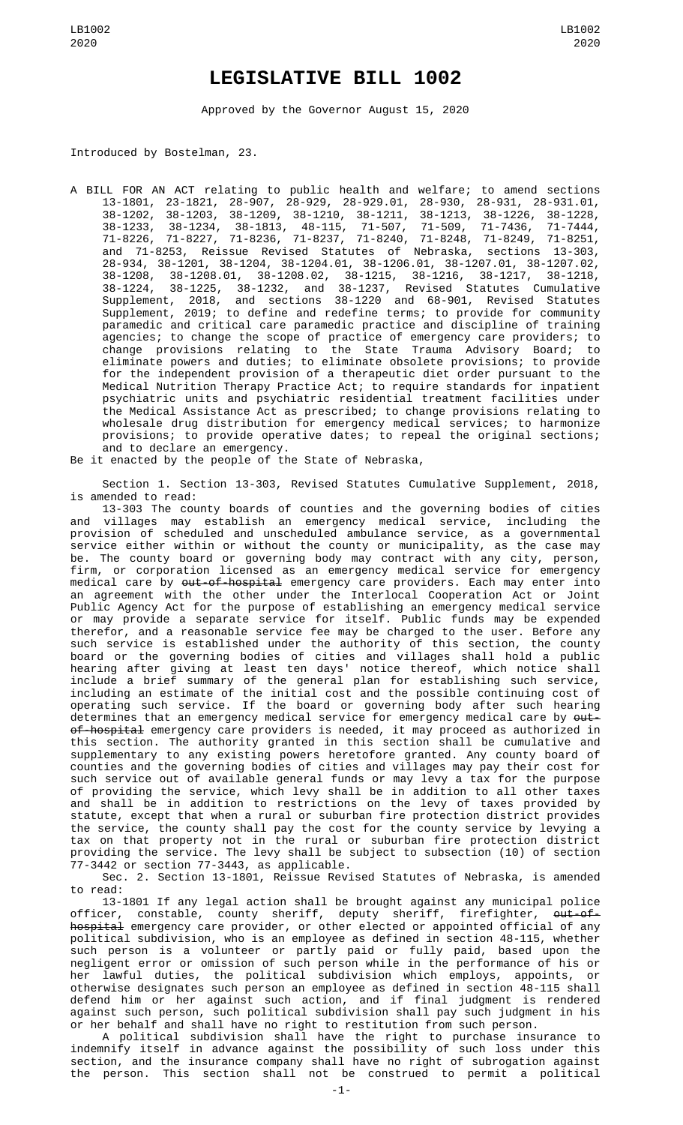## **LEGISLATIVE BILL 1002**

Approved by the Governor August 15, 2020

Introduced by Bostelman, 23.

- A BILL FOR AN ACT relating to public health and welfare; to amend sections 13-1801, 23-1821, 28-907, 28-929, 28-929.01, 28-930, 28-931, 28-931.01, 38-1202, 38-1203, 38-1209, 38-1210, 38-1211, 38-1213, 38-1226, 38-1228, 38-1233, 38-1234, 38-1813, 48-115, 71-507, 71-509, 71-7436, 71-7444, 71-8226, 71-8227, 71-8236, 71-8237, 71-8240, 71-8248, 71-8249, 71-8251, and 71-8253, Reissue Revised Statutes of Nebraska, sections 13-303, 28-934, 38-1201, 38-1204, 38-1204.01, 38-1206.01, 38-1207.01, 38-1207.02, 38-1208, 38-1208.01, 38-1208.02, 38-1215, 38-1216, 38-1217, 38-1218, 38-1224, 38-1225, 38-1232, and 38-1237, Revised Statutes Cumulative Supplement, 2018, and sections 38-1220 and 68-901, Revised Statutes Supplement, 2019; to define and redefine terms; to provide for community paramedic and critical care paramedic practice and discipline of training agencies; to change the scope of practice of emergency care providers; to change provisions relating to the State Trauma Advisory Board; to eliminate powers and duties; to eliminate obsolete provisions; to provide for the independent provision of a therapeutic diet order pursuant to the Medical Nutrition Therapy Practice Act; to require standards for inpatient psychiatric units and psychiatric residential treatment facilities under the Medical Assistance Act as prescribed; to change provisions relating to wholesale drug distribution for emergency medical services; to harmonize provisions; to provide operative dates; to repeal the original sections; and to declare an emergency.
- Be it enacted by the people of the State of Nebraska,

Section 1. Section 13-303, Revised Statutes Cumulative Supplement, 2018, is amended to read:

13-303 The county boards of counties and the governing bodies of cities and villages may establish an emergency medical service, including the provision of scheduled and unscheduled ambulance service, as a governmental service either within or without the county or municipality, as the case may be. The county board or governing body may contract with any city, person, firm, or corporation licensed as an emergency medical service for emergency medical care by <del>out-of-hospital</del> emergency care providers. Each may enter into an agreement with the other under the Interlocal Cooperation Act or Joint Public Agency Act for the purpose of establishing an emergency medical service or may provide a separate service for itself. Public funds may be expended therefor, and a reasonable service fee may be charged to the user. Before any such service is established under the authority of this section, the county board or the governing bodies of cities and villages shall hold a public hearing after giving at least ten days' notice thereof, which notice shall include a brief summary of the general plan for establishing such service, including an estimate of the initial cost and the possible continuing cost of operating such service. If the board or governing body after such hearing determines that an emergency medical service for emergency medical care by <del>out-</del> <del>of-hospital</del> emergency care providers is needed, it may proceed as authorized in this section. The authority granted in this section shall be cumulative and supplementary to any existing powers heretofore granted. Any county board of counties and the governing bodies of cities and villages may pay their cost for such service out of available general funds or may levy a tax for the purpose of providing the service, which levy shall be in addition to all other taxes and shall be in addition to restrictions on the levy of taxes provided by statute, except that when a rural or suburban fire protection district provides the service, the county shall pay the cost for the county service by levying a tax on that property not in the rural or suburban fire protection district providing the service. The levy shall be subject to subsection (10) of section 77-3442 or section 77-3443, as applicable.

Sec. 2. Section 13-1801, Reissue Revised Statutes of Nebraska, is amended to read:

13-1801 If any legal action shall be brought against any municipal police officer, constable, county sheriff, deputy sheriff, firefighter, <del>out-of-</del> hospital emergency care provider, or other elected or appointed official of any political subdivision, who is an employee as defined in section 48-115, whether such person is a volunteer or partly paid or fully paid, based upon the negligent error or omission of such person while in the performance of his or her lawful duties, the political subdivision which employs, appoints, or otherwise designates such person an employee as defined in section 48-115 shall defend him or her against such action, and if final judgment is rendered against such person, such political subdivision shall pay such judgment in his or her behalf and shall have no right to restitution from such person.

A political subdivision shall have the right to purchase insurance to indemnify itself in advance against the possibility of such loss under this section, and the insurance company shall have no right of subrogation against the person. This section shall not be construed to permit a political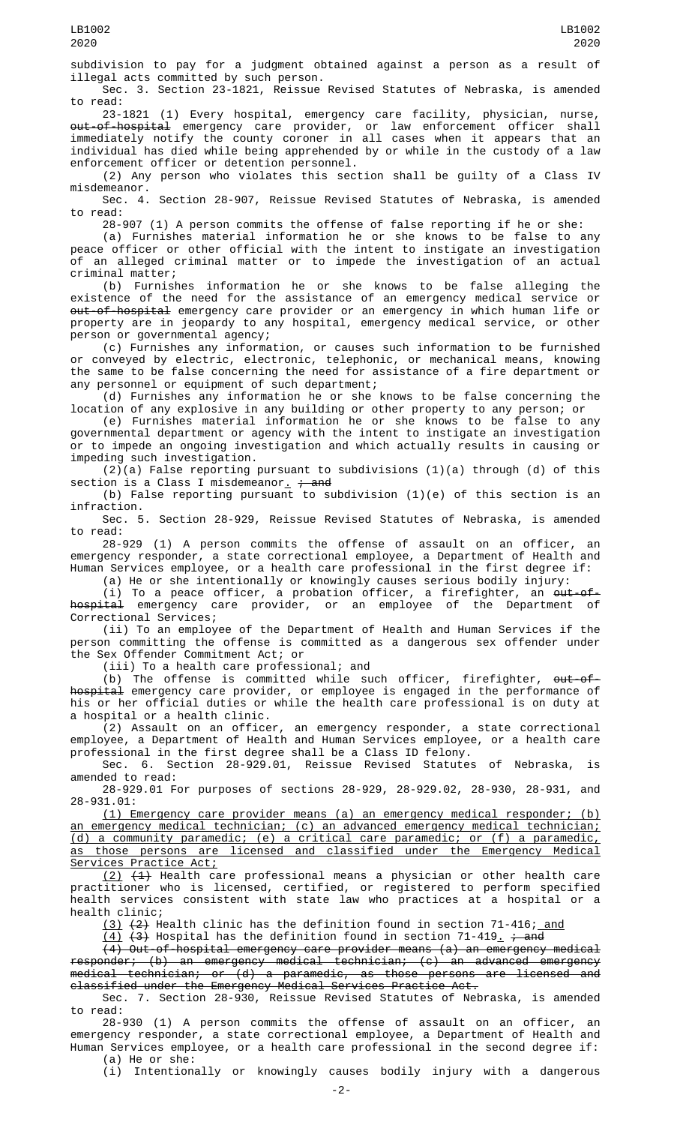subdivision to pay for a judgment obtained against a person as a result of illegal acts committed by such person.

Sec. 3. Section 23-1821, Reissue Revised Statutes of Nebraska, is amended to read:

23-1821 (1) Every hospital, emergency care facility, physician, nurse, <del>out-of-hospital</del> emergency care provider, or law enforcement officer shall immediately notify the county coroner in all cases when it appears that an individual has died while being apprehended by or while in the custody of a law enforcement officer or detention personnel.

(2) Any person who violates this section shall be guilty of a Class IV misdemeanor.

Sec. 4. Section 28-907, Reissue Revised Statutes of Nebraska, is amended to read:

28-907 (1) A person commits the offense of false reporting if he or she:

(a) Furnishes material information he or she knows to be false to any peace officer or other official with the intent to instigate an investigation of an alleged criminal matter or to impede the investigation of an actual criminal matter;

(b) Furnishes information he or she knows to be false alleging the existence of the need for the assistance of an emergency medical service or <del>out-of-hospital</del> emergency care provider or an emergency in which human life or property are in jeopardy to any hospital, emergency medical service, or other person or governmental agency;

(c) Furnishes any information, or causes such information to be furnished or conveyed by electric, electronic, telephonic, or mechanical means, knowing the same to be false concerning the need for assistance of a fire department or any personnel or equipment of such department;

(d) Furnishes any information he or she knows to be false concerning the location of any explosive in any building or other property to any person; or

(e) Furnishes material information he or she knows to be false to any governmental department or agency with the intent to instigate an investigation or to impede an ongoing investigation and which actually results in causing or impeding such investigation.

 $(2)(a)$  False reporting pursuant to subdivisions  $(1)(a)$  through  $(d)$  of this section is a Class I misdemeanor<u>.</u> <del>; and</del>

(b) False reporting pursuant to subdivision (1)(e) of this section is an infraction.

Sec. 5. Section 28-929, Reissue Revised Statutes of Nebraska, is amended to read:

28-929 (1) A person commits the offense of assault on an officer, an emergency responder, a state correctional employee, a Department of Health and Human Services employee, or a health care professional in the first degree if:

(a) He or she intentionally or knowingly causes serious bodily injury:

(i) To a peace officer, a probation officer, a firefighter, an <del>out-of-</del> hospital emergency care provider, or an employee of the Department of Correctional Services;

(ii) To an employee of the Department of Health and Human Services if the person committing the offense is committed as a dangerous sex offender under the Sex Offender Commitment Act; or

(iii) To a health care professional; and

(b) The offense is committed while such officer, firefighter, out-ofhospital emergency care provider, or employee is engaged in the performance of his or her official duties or while the health care professional is on duty at a hospital or a health clinic.

(2) Assault on an officer, an emergency responder, a state correctional employee, a Department of Health and Human Services employee, or a health care professional in the first degree shall be a Class ID felony.

Sec. 6. Section 28-929.01, Reissue Revised Statutes of Nebraska, is amended to read:

28-929.01 For purposes of sections 28-929, 28-929.02, 28-930, 28-931, and 28-931.01:

(1) Emergency care provider means (a) an emergency medical responder; (b) an emergency medical technician; (c) an advanced emergency medical technician; (d) a community paramedic; (e) a critical care paramedic; or (f) a paramedic, as those persons are licensed and classified under the Emergency Medical Services Practice Act;

(2) (1) Health care professional means a physician or other health care practitioner who is licensed, certified, or registered to perform specified health services consistent with state law who practices at a hospital or a health clinic;

<u>(3)</u> <del>(2)</del> Health clinic has the definition found in section 71-416; <u>and</u>

<u>(4)</u> <del>(3)</del> Hospital has the definition found in section 71-419<u>.</u> <del>; and</del>

 $\overline{(4)}$  Out-of-hospital emergency care provider means (a) an emergency medical responder; (b) an emergency medical technician; (c) an advanced emergency medical technician; or (d) a paramedic, as those persons are licensed and classified under the Emergency Medical Services Practice Act.

Sec. 7. Section 28-930, Reissue Revised Statutes of Nebraska, is amended to read:

28-930 (1) A person commits the offense of assault on an officer, an emergency responder, a state correctional employee, a Department of Health and Human Services employee, or a health care professional in the second degree if: (a) He or she:

(i) Intentionally or knowingly causes bodily injury with a dangerous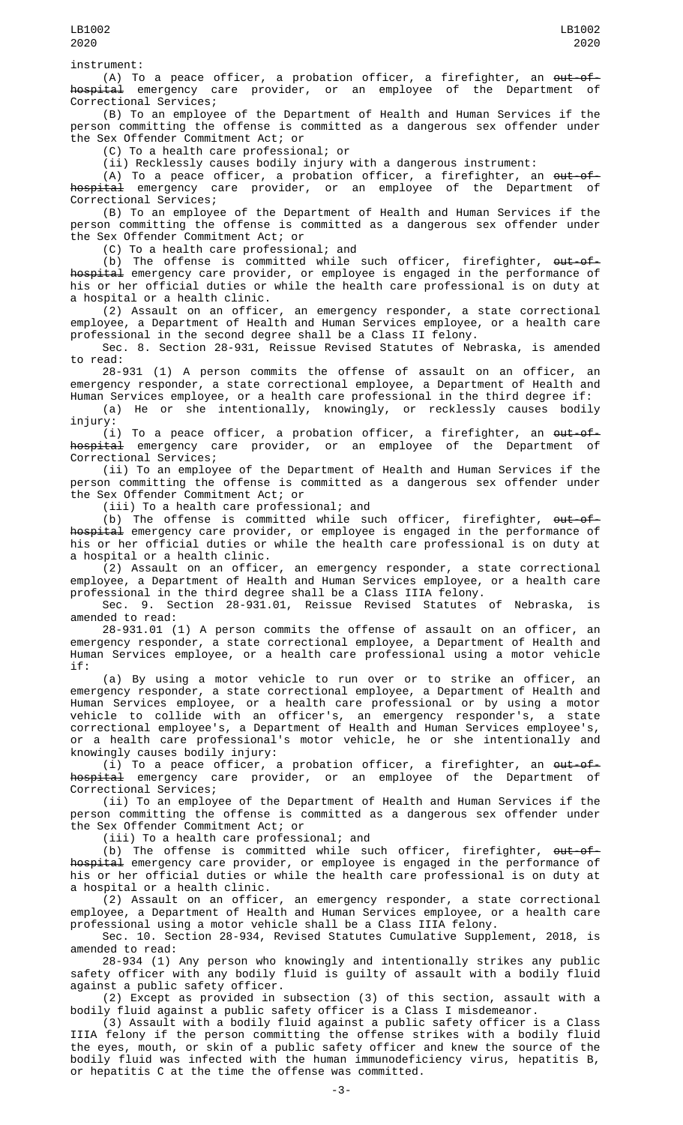instrument:

(A) To a peace officer, a probation officer, a firefighter, an <del>out-of-</del> <del>hospital</del> emergency care provider, or an employee of the Department of Correctional Services;

(B) To an employee of the Department of Health and Human Services if the person committing the offense is committed as a dangerous sex offender under the Sex Offender Commitment Act; or

(C) To a health care professional; or

(ii) Recklessly causes bodily injury with a dangerous instrument:

(A) To a peace officer, a probation officer, a firefighter, an out-of-<del>hospital</del> emergency care provider, or an employee of the Department of Correctional Services;

(B) To an employee of the Department of Health and Human Services if the person committing the offense is committed as a dangerous sex offender under the Sex Offender Commitment Act; or

(C) To a health care professional; and

(b) The offense is committed while such officer, firefighter, <del>out-of-</del> hospital emergency care provider, or employee is engaged in the performance of his or her official duties or while the health care professional is on duty at a hospital or a health clinic.

(2) Assault on an officer, an emergency responder, a state correctional employee, a Department of Health and Human Services employee, or a health care professional in the second degree shall be a Class II felony.

Sec. 8. Section 28-931, Reissue Revised Statutes of Nebraska, is amended to read:

28-931 (1) A person commits the offense of assault on an officer, an emergency responder, a state correctional employee, a Department of Health and Human Services employee, or a health care professional in the third degree if:

(a) He or she intentionally, knowingly, or recklessly causes bodily injury:

(i) To a peace officer, a probation officer, a firefighter, an out-of-<del>hospital</del> emergency care provider, or an employee of the Department of Correctional Services;

(ii) To an employee of the Department of Health and Human Services if the person committing the offense is committed as a dangerous sex offender under the Sex Offender Commitment Act; or

(iii) To a health care professional; and

(b) The offense is committed while such officer, firefighter, <del>out-of-</del> hospital emergency care provider, or employee is engaged in the performance of his or her official duties or while the health care professional is on duty at a hospital or a health clinic.

(2) Assault on an officer, an emergency responder, a state correctional employee, a Department of Health and Human Services employee, or a health care professional in the third degree shall be a Class IIIA felony.

Sec. 9. Section 28-931.01, Reissue Revised Statutes of Nebraska, is amended to read:

28-931.01 (1) A person commits the offense of assault on an officer, an emergency responder, a state correctional employee, a Department of Health and Human Services employee, or a health care professional using a motor vehicle if:

(a) By using a motor vehicle to run over or to strike an officer, an emergency responder, a state correctional employee, a Department of Health and Human Services employee, or a health care professional or by using a motor vehicle to collide with an officer's, an emergency responder's, a state correctional employee's, a Department of Health and Human Services employee's, or a health care professional's motor vehicle, he or she intentionally and knowingly causes bodily injury:

(i) To a peace officer, a probation officer, a firefighter, an out-of-<del>hospital</del> emergency care provider, or an employee of the Department of Correctional Services;

(ii) To an employee of the Department of Health and Human Services if the person committing the offense is committed as a dangerous sex offender under the Sex Offender Commitment Act; or

(iii) To a health care professional; and

(b) The offense is committed while such officer, firefighter, <del>out-of-</del> hospital emergency care provider, or employee is engaged in the performance of his or her official duties or while the health care professional is on duty at a hospital or a health clinic.

(2) Assault on an officer, an emergency responder, a state correctional employee, a Department of Health and Human Services employee, or a health care professional using a motor vehicle shall be a Class IIIA felony.

Sec. 10. Section 28-934, Revised Statutes Cumulative Supplement, 2018, is amended to read:

28-934 (1) Any person who knowingly and intentionally strikes any public safety officer with any bodily fluid is guilty of assault with a bodily fluid against a public safety officer.

(2) Except as provided in subsection (3) of this section, assault with a bodily fluid against a public safety officer is a Class I misdemeanor.

(3) Assault with a bodily fluid against a public safety officer is a Class IIIA felony if the person committing the offense strikes with a bodily fluid the eyes, mouth, or skin of a public safety officer and knew the source of the bodily fluid was infected with the human immunodeficiency virus, hepatitis B, or hepatitis C at the time the offense was committed.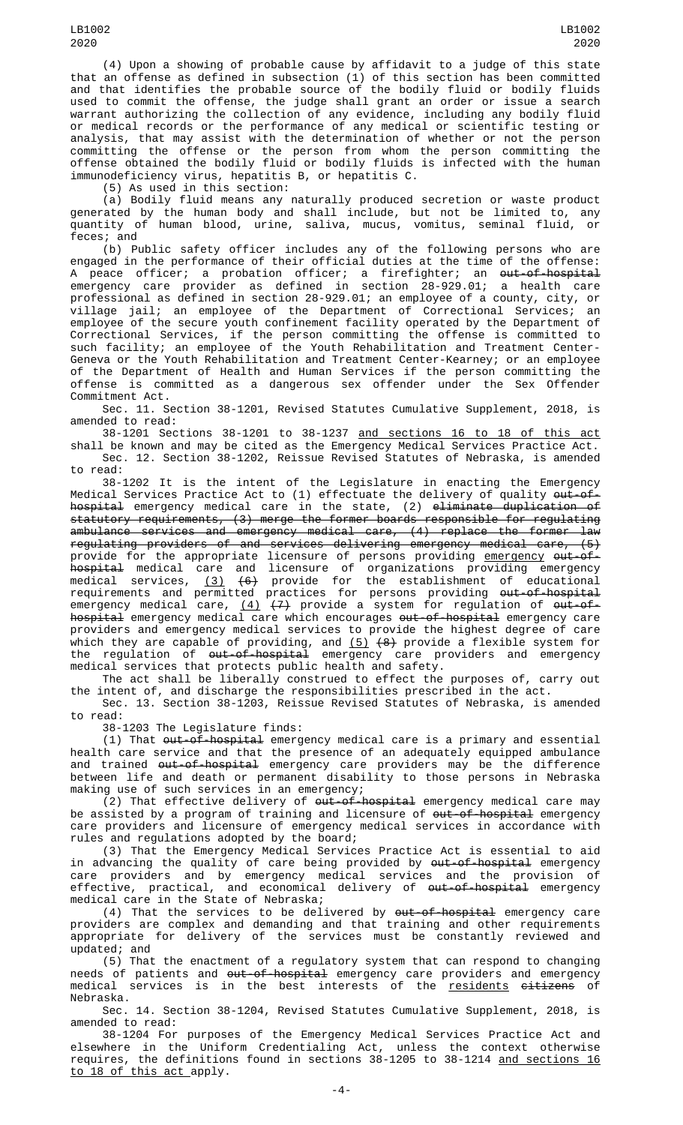(4) Upon a showing of probable cause by affidavit to a judge of this state that an offense as defined in subsection (1) of this section has been committed and that identifies the probable source of the bodily fluid or bodily fluids used to commit the offense, the judge shall grant an order or issue a search warrant authorizing the collection of any evidence, including any bodily fluid or medical records or the performance of any medical or scientific testing or analysis, that may assist with the determination of whether or not the person committing the offense or the person from whom the person committing the offense obtained the bodily fluid or bodily fluids is infected with the human immunodeficiency virus, hepatitis B, or hepatitis C.

(5) As used in this section:

(a) Bodily fluid means any naturally produced secretion or waste product generated by the human body and shall include, but not be limited to, any quantity of human blood, urine, saliva, mucus, vomitus, seminal fluid, or feces; and

(b) Public safety officer includes any of the following persons who are engaged in the performance of their official duties at the time of the offense: A peace officer; a probation officer; a firefighter; an <del>out-of-hospital</del> emergency care provider as defined in section 28-929.01; a health care professional as defined in section 28-929.01; an employee of a county, city, or village jail; an employee of the Department of Correctional Services; an employee of the secure youth confinement facility operated by the Department of Correctional Services, if the person committing the offense is committed to such facility; an employee of the Youth Rehabilitation and Treatment Center-Geneva or the Youth Rehabilitation and Treatment Center-Kearney; or an employee of the Department of Health and Human Services if the person committing the offense is committed as a dangerous sex offender under the Sex Offender Commitment Act.

Sec. 11. Section 38-1201, Revised Statutes Cumulative Supplement, 2018, is amended to read:

38-1201 Sections 38-1201 to 38-1237 and sections 16 to 18 of this act shall be known and may be cited as the Emergency Medical Services Practice Act. Sec. 12. Section 38-1202, Reissue Revised Statutes of Nebraska, is amended

to read: 38-1202 It is the intent of the Legislature in enacting the Emergency Medical Services Practice Act to (1) effectuate the delivery of quality <del>out-of-</del> hospital emergency medical care in the state, (2) <del>eliminate duplication of</del> statutory requirements, (3) merge the former boards responsible for regulating ambulance services and emergency medical care, (4) replace the former law regulating providers of and services delivering emergency medical care, (5) provide for the appropriate licensure of persons providing <u>emergency</u> <del>out-of-</del> hospital medical care and licensure of organizations providing emergency medical services, <u>(3)</u> <del>(6)</del> provide for the establishment of educational requirements and permitted practices for persons providing <del>out-of-hospital</del> emergency medical care, <u>(4)</u> <del>(7)</del> provide a system for regulation of <del>out-of-</del> hospital emergency medical care which encourages <del>out-of-hospital</del> emergency care providers and emergency medical services to provide the highest degree of care which they are capable of providing, and <u>(5)</u> <del>(8)</del> provide a flexible system for the regulation of <del>out-of-hospital</del> emergency care providers and emergency medical services that protects public health and safety.

The act shall be liberally construed to effect the purposes of, carry out the intent of, and discharge the responsibilities prescribed in the act.

Sec. 13. Section 38-1203, Reissue Revised Statutes of Nebraska, is amended to read:

38-1203 The Legislature finds:

(1) That out-of-hospital emergency medical care is a primary and essential health care service and that the presence of an adequately equipped ambulance and trained <del>out-of-hospital</del> emergency care providers may be the difference between life and death or permanent disability to those persons in Nebraska making use of such services in an emergency;

(2) That effective delivery of out-of-hospital emergency medical care may be assisted by a program of training and licensure of <del>out-of-hospital</del> emergency care providers and licensure of emergency medical services in accordance with rules and regulations adopted by the board;

(3) That the Emergency Medical Services Practice Act is essential to aid in advancing the quality of care being provided by <del>out-of-hospital</del> emergency care providers and by emergency medical services and the provision of effective, practical, and economical delivery of <del>out-of-hospital</del> emergency medical care in the State of Nebraska;

(4) That the services to be delivered by out-of-hospital emergency care providers are complex and demanding and that training and other requirements appropriate for delivery of the services must be constantly reviewed and updated; and

(5) That the enactment of a regulatory system that can respond to changing needs of patients and <del>out-of-hospital</del> emergency care providers and emergency medical services is in the best interests of the <u>residents</u> <del>citizens</del> of Nebraska.

Sec. 14. Section 38-1204, Revised Statutes Cumulative Supplement, 2018, is amended to read:

38-1204 For purposes of the Emergency Medical Services Practice Act and elsewhere in the Uniform Credentialing Act, unless the context otherwise requires, the definitions found in sections 38-1205 to 38-1214 and sections 16 to 18 of this act apply.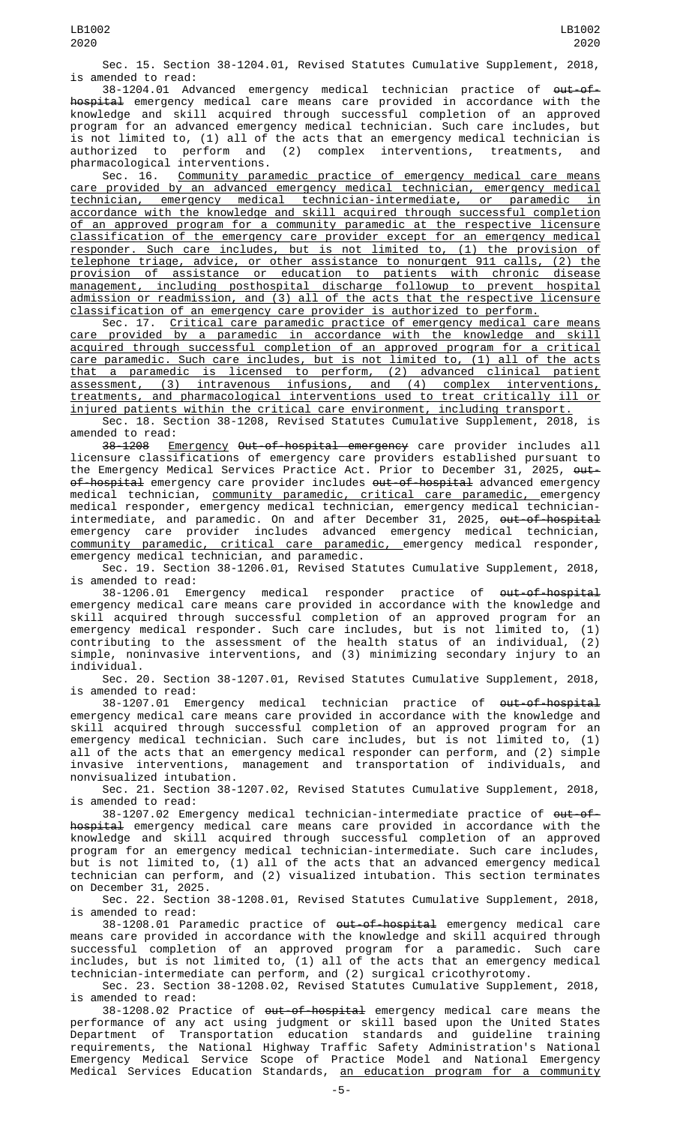Sec. 15. Section 38-1204.01, Revised Statutes Cumulative Supplement, 2018, is amended to read:

38-1204.01 Advanced emergency medical technician practice of out-ofhospital emergency medical care means care provided in accordance with the knowledge and skill acquired through successful completion of an approved program for an advanced emergency medical technician. Such care includes, but is not limited to, (1) all of the acts that an emergency medical technician is authorized to perform and (2) complex interventions, treatments, and pharmacological interventions.

Sec. 16. Community paramedic practice of emergency medical care means care provided by an advanced emergency medical technician, emergency medical technician, emergency medical technician-intermediate, or paramedic in accordance with the knowledge and skill acquired through successful completion of an approved program for a community paramedic at the respective licensure classification of the emergency care provider except for an emergency medical responder. Such care includes, but is not limited to, (1) the provision of telephone triage, advice, or other assistance to nonurgent 911 calls, (2) the provision of assistance or education to patients with chronic disease management, including posthospital discharge followup to prevent hospital admission or readmission, and (3) all of the acts that the respective licensure classification of an emergency care provider is authorized to perform.

Sec. 17. <u>Critical care paramedic practice of emergency medical care means</u> care provided by a paramedic in accordance with the knowledge and skill acquired through successful completion of an approved program for a critical care paramedic. Such care includes, but is not limited to, (1) all of the acts that a paramedic is licensed to perform, (2) advanced clinical patient assessment, (3) intravenous infusions, and (4) complex interventions, treatments, and pharmacological interventions used to treat critically ill or injured patients within the critical care environment, including transport.

Sec. 18. Section 38-1208, Revised Statutes Cumulative Supplement, 2018, is amended to read:

3<del>8-1208</del> <u>Emergency</u> <del>Out-of-hospital emergency</del> care provider includes all licensure classifications of emergency care providers established pursuant to the Emergency Medical Services Practice Act. Prior to December 31, 2025, <del>out-</del> of-hospital emergency care provider includes out-of-hospital advanced emergency medical technician, community paramedic, critical care paramedic, emergency medical responder, emergency medical technician, emergency medical technicianintermediate, and paramedic. On and after December 31, 2025, <del>out-of-hospital</del> emergency care provider includes advanced emergency medical technician, community paramedic, critical care paramedic, emergency medical responder, emergency medical technician, and paramedic.

Sec. 19. Section 38-1206.01, Revised Statutes Cumulative Supplement, 2018, is amended to read:

38-1206.01 Emergency medical responder practice of <del>out-of-hospital</del> emergency medical care means care provided in accordance with the knowledge and skill acquired through successful completion of an approved program for an emergency medical responder. Such care includes, but is not limited to, (1) contributing to the assessment of the health status of an individual, (2) simple, noninvasive interventions, and (3) minimizing secondary injury to an individual.

Sec. 20. Section 38-1207.01, Revised Statutes Cumulative Supplement, 2018, is amended to read:

38-1207.01 Emergency medical technician practice of out-of-hospital emergency medical care means care provided in accordance with the knowledge and skill acquired through successful completion of an approved program for an emergency medical technician. Such care includes, but is not limited to, (1) all of the acts that an emergency medical responder can perform, and (2) simple invasive interventions, management and transportation of individuals, and nonvisualized intubation.

Sec. 21. Section 38-1207.02, Revised Statutes Cumulative Supplement, 2018, is amended to read:

38-1207.02 Emergency medical technician-intermediate practice of <del>out-of-</del> hospital emergency medical care means care provided in accordance with the knowledge and skill acquired through successful completion of an approved program for an emergency medical technician-intermediate. Such care includes, but is not limited to, (1) all of the acts that an advanced emergency medical technician can perform, and (2) visualized intubation. This section terminates on December 31, 2025.

Sec. 22. Section 38-1208.01, Revised Statutes Cumulative Supplement, 2018, is amended to read:

38-1208.01 Paramedic practice of <del>out-of-hospital</del> emergency medical care means care provided in accordance with the knowledge and skill acquired through successful completion of an approved program for a paramedic. Such care includes, but is not limited to, (1) all of the acts that an emergency medical technician-intermediate can perform, and (2) surgical cricothyrotomy.

Sec. 23. Section 38-1208.02, Revised Statutes Cumulative Supplement, 2018, is amended to read:

38-1208.02 Practice of <del>out-of-hospital</del> emergency medical care means the performance of any act using judgment or skill based upon the United States Department of Transportation education standards and guideline training requirements, the National Highway Traffic Safety Administration's National Emergency Medical Service Scope of Practice Model and National Emergency Medical Services Education Standards, <u>an education program for a community</u>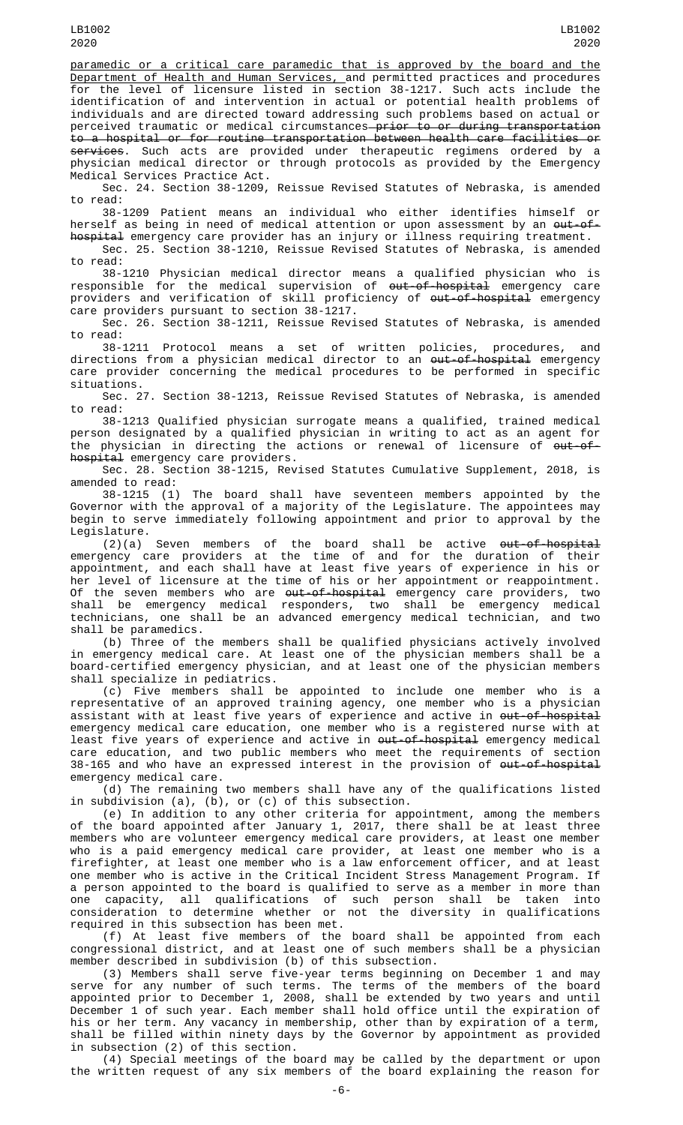paramedic or a critical care paramedic that is approved by the board and the Department of Health and Human Services, and permitted practices and procedures for the level of licensure listed in section 38-1217. Such acts include the identification of and intervention in actual or potential health problems of individuals and are directed toward addressing such problems based on actual or perceived traumatic or medical circumstances<del> prior to or during transportation</del> to a hospital or for routine transportation between health care facilities or <del>services</del>. Such acts are provided under therapeutic regimens ordered by a physician medical director or through protocols as provided by the Emergency Medical Services Practice Act.

Sec. 24. Section 38-1209, Reissue Revised Statutes of Nebraska, is amended to read:

38-1209 Patient means an individual who either identifies himself or herself as being in need of medical attention or upon assessment by an <del>out-of-</del> hospital emergency care provider has an injury or illness requiring treatment.

Sec. 25. Section 38-1210, Reissue Revised Statutes of Nebraska, is amended to read:

38-1210 Physician medical director means a qualified physician who is responsible for the medical supervision of <del>out-of-hospital</del> emergency care providers and verification of skill proficiency of <del>out-of-hospital</del> emergency care providers pursuant to section 38-1217.

Sec. 26. Section 38-1211, Reissue Revised Statutes of Nebraska, is amended to read:

38-1211 Protocol means a set of written policies, procedures, and directions from a physician medical director to an <del>out-of-hospital</del> emergency care provider concerning the medical procedures to be performed in specific situations.

Sec. 27. Section 38-1213, Reissue Revised Statutes of Nebraska, is amended to read:

38-1213 Qualified physician surrogate means a qualified, trained medical person designated by a qualified physician in writing to act as an agent for the physician in directing the actions or renewal of licensure of  $\theta$ ut-ofhospital emergency care providers.

Sec. 28. Section 38-1215, Revised Statutes Cumulative Supplement, 2018, is amended to read:

38-1215 (1) The board shall have seventeen members appointed by the Governor with the approval of a majority of the Legislature. The appointees may begin to serve immediately following appointment and prior to approval by the Legislature.

 $(2)(a)$  Seven members of the board shall be active <del>out-of-hospital</del> emergency care providers at the time of and for the duration of their appointment, and each shall have at least five years of experience in his or her level of licensure at the time of his or her appointment or reappointment. Of the seven members who are <del>out-of-hospital</del> emergency care providers, two shall be emergency medical responders, two shall be emergency medical technicians, one shall be an advanced emergency medical technician, and two shall be paramedics.

(b) Three of the members shall be qualified physicians actively involved in emergency medical care. At least one of the physician members shall be a board-certified emergency physician, and at least one of the physician members shall specialize in pediatrics.

(c) Five members shall be appointed to include one member who is a representative of an approved training agency, one member who is a physician assistant with at least five years of experience and active in <del>out-of-hospital</del> emergency medical care education, one member who is a registered nurse with at least five years of experience and active in <del>out-of-hospital</del> emergency medical care education, and two public members who meet the requirements of section 38-165 and who have an expressed interest in the provision of out-of-hospital emergency medical care.

(d) The remaining two members shall have any of the qualifications listed in subdivision (a), (b), or (c) of this subsection.

(e) In addition to any other criteria for appointment, among the members of the board appointed after January 1, 2017, there shall be at least three members who are volunteer emergency medical care providers, at least one member who is a paid emergency medical care provider, at least one member who is a firefighter, at least one member who is a law enforcement officer, and at least one member who is active in the Critical Incident Stress Management Program. If a person appointed to the board is qualified to serve as a member in more than one capacity, all qualifications of such person shall be taken into consideration to determine whether or not the diversity in qualifications required in this subsection has been met.

(f) At least five members of the board shall be appointed from each congressional district, and at least one of such members shall be a physician member described in subdivision (b) of this subsection.

(3) Members shall serve five-year terms beginning on December 1 and may serve for any number of such terms. The terms of the members of the board appointed prior to December 1, 2008, shall be extended by two years and until December 1 of such year. Each member shall hold office until the expiration of his or her term. Any vacancy in membership, other than by expiration of a term, shall be filled within ninety days by the Governor by appointment as provided in subsection (2) of this section.

(4) Special meetings of the board may be called by the department or upon the written request of any six members of the board explaining the reason for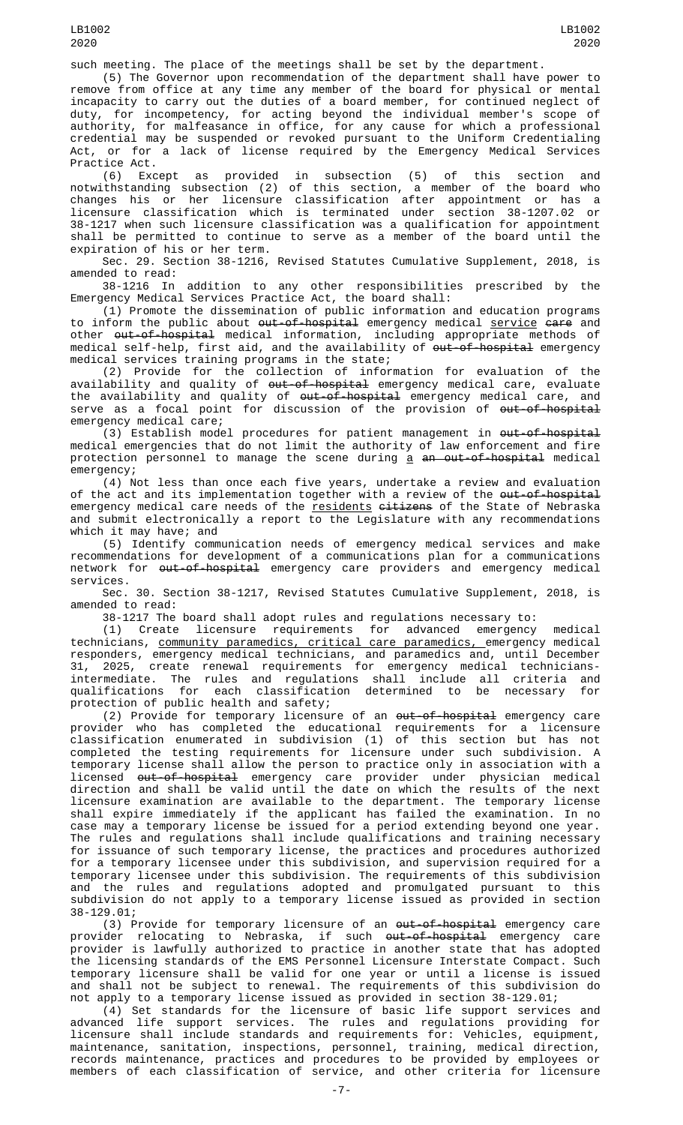such meeting. The place of the meetings shall be set by the department.

(5) The Governor upon recommendation of the department shall have power to remove from office at any time any member of the board for physical or mental incapacity to carry out the duties of a board member, for continued neglect of duty, for incompetency, for acting beyond the individual member's scope of authority, for malfeasance in office, for any cause for which a professional credential may be suspended or revoked pursuant to the Uniform Credentialing Act, or for a lack of license required by the Emergency Medical Services Practice Act.

(6) Except as provided in subsection (5) of this section and notwithstanding subsection (2) of this section, a member of the board who changes his or her licensure classification after appointment or has a licensure classification which is terminated under section 38-1207.02 or 38-1217 when such licensure classification was a qualification for appointment shall be permitted to continue to serve as a member of the board until the expiration of his or her term.

Sec. 29. Section 38-1216, Revised Statutes Cumulative Supplement, 2018, is amended to read:

38-1216 In addition to any other responsibilities prescribed by the Emergency Medical Services Practice Act, the board shall:

(1) Promote the dissemination of public information and education programs to inform the public about <del>out-of-hospital</del> emergency medical <u>service</u> <del>care</del> and other <del>out-of-hospital</del> medical information, including appropriate methods of medical self-help, first aid, and the availability of <del>out-of-hospital</del> emergency medical services training programs in the state;

(2) Provide for the collection of information for evaluation of the availability and quality of <del>out-of-hospital</del> emergency medical care, evaluate the availability and quality of out-of-hospital emergency medical care, and serve as a focal point for discussion of the provision of <del>out-of-hospital</del> emergency medical care;

 $(3)$  Establish model procedures for patient management in  $\omega t$ -of-hospital medical emergencies that do not limit the authority of law enforcement and fire protection personnel to manage the scene during <u>a</u> <del>an out-of-hospital</del> medical emergency;

(4) Not less than once each five years, undertake a review and evaluation of the act and its implementation together with a review of the <del>out-of-hospital</del> emergency medical care needs of the residents citizens of the State of Nebraska and submit electronically a report to the Legislature with any recommendations which it may have; and

(5) Identify communication needs of emergency medical services and make recommendations for development of a communications plan for a communications network for <del>out-of-hospital</del> emergency care providers and emergency medical services.

Sec. 30. Section 38-1217, Revised Statutes Cumulative Supplement, 2018, is amended to read:

38-1217 The board shall adopt rules and regulations necessary to:

(1) Create licensure requirements for advanced emergency medical technicians, community paramedics, critical care paramedics, emergency medical responders, emergency medical technicians, and paramedics and, until December 31, 2025, create renewal requirements for emergency medical techniciansintermediate. The rules and regulations shall include all criteria and qualifications for each classification determined to be necessary for protection of public health and safety;

(2) Provide for temporary licensure of an out-of-hospital emergency care provider who has completed the educational requirements for a licensure classification enumerated in subdivision (1) of this section but has not completed the testing requirements for licensure under such subdivision. A temporary license shall allow the person to practice only in association with a licensed <del>out-of-hospital</del> emergency care provider under physician medical direction and shall be valid until the date on which the results of the next licensure examination are available to the department. The temporary license shall expire immediately if the applicant has failed the examination. In no case may a temporary license be issued for a period extending beyond one year. The rules and regulations shall include qualifications and training necessary for issuance of such temporary license, the practices and procedures authorized for a temporary licensee under this subdivision, and supervision required for a temporary licensee under this subdivision. The requirements of this subdivision and the rules and regulations adopted and promulgated pursuant to this subdivision do not apply to a temporary license issued as provided in section 38-129.01;

(3) Provide for temporary licensure of an <del>out-of-hospital</del> emergency care provider relocating to Nebraska, if such <del>out-of-hospital</del> emergency care provider is lawfully authorized to practice in another state that has adopted the licensing standards of the EMS Personnel Licensure Interstate Compact. Such temporary licensure shall be valid for one year or until a license is issued and shall not be subject to renewal. The requirements of this subdivision do not apply to a temporary license issued as provided in section 38-129.01;

(4) Set standards for the licensure of basic life support services and advanced life support services. The rules and regulations providing for licensure shall include standards and requirements for: Vehicles, equipment, maintenance, sanitation, inspections, personnel, training, medical direction, records maintenance, practices and procedures to be provided by employees or members of each classification of service, and other criteria for licensure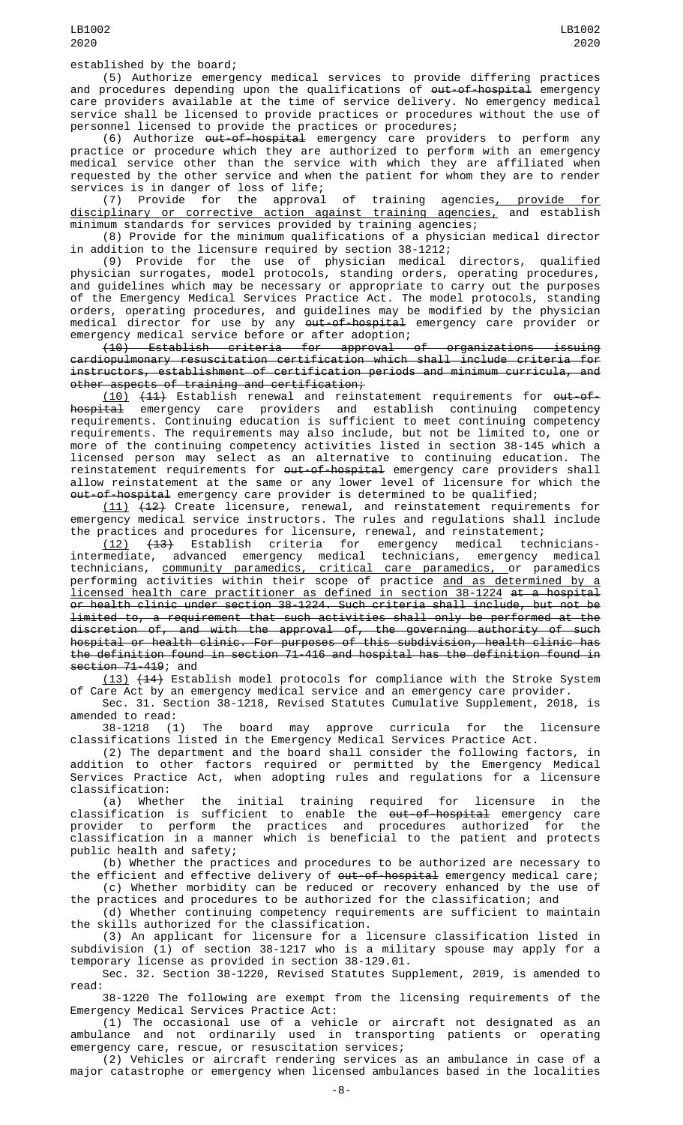established by the board;

(5) Authorize emergency medical services to provide differing practices and procedures depending upon the qualifications of <del>out-of-hospital</del> emergency care providers available at the time of service delivery. No emergency medical service shall be licensed to provide practices or procedures without the use of personnel licensed to provide the practices or procedures;

(6) Authorize out-of-hospital emergency care providers to perform any practice or procedure which they are authorized to perform with an emergency medical service other than the service with which they are affiliated when requested by the other service and when the patient for whom they are to render services is in danger of loss of life;<br>(7) Provide for the approval

(7) Provide for the approval of training agencies, provide for disciplinary or corrective action against training agencies, and establish minimum standards for services provided by training agencies;

(8) Provide for the minimum qualifications of a physician medical director in addition to the licensure required by section 38-1212;

(9) Provide for the use of physician medical directors, qualified physician surrogates, model protocols, standing orders, operating procedures, and guidelines which may be necessary or appropriate to carry out the purposes of the Emergency Medical Services Practice Act. The model protocols, standing orders, operating procedures, and guidelines may be modified by the physician medical director for use by any <del>out-of-hospital</del> emergency care provider or emergency medical service before or after adoption;

(10) Establish criteria for approval of organizations issuing cardiopulmonary resuscitation certification which shall include criteria for instructors, establishment of certification periods and minimum curricula, and other aspects of training and certification;

(10) (11) Establish renewal and reinstatement requirements for out-of-<del>hospital</del> emergency care providers and establish continuing competency requirements. Continuing education is sufficient to meet continuing competency requirements. The requirements may also include, but not be limited to, one or more of the continuing competency activities listed in section 38-145 which a licensed person may select as an alternative to continuing education. The reinstatement requirements for <del>out-of-hospital</del> emergency care providers shall allow reinstatement at the same or any lower level of licensure for which the <del>out-of-hospital</del> emergency care provider is determined to be qualified;

(11) (12) Create licensure, renewal, and reinstatement requirements for emergency medical service instructors. The rules and regulations shall include the practices and procedures for licensure, renewal, and reinstatement;

(12) (13) Establish criteria for emergency medical techniciansintermediate, advanced emergency medical technicians, emergency medical intermediate, advanced emergency medical technicians, emergency medical<br>technicians, <u>community paramedics, critical care paramedics, o</u>r paramedics performing activities within their scope of practice <u>and as determined by a</u> licensed health care practitioner as defined in section 38-1224 at a hospital or health clinic under section 38-1224. Such criteria shall include, but not be limited to, a requirement that such activities shall only be performed at the discretion of, and with the approval of, the governing authority of such hospital or health clinic. For purposes of this subdivision, health clinic has the definition found in section 71-416 and hospital has the definition found in section 71-419; and

(13) (14) Establish model protocols for compliance with the Stroke System of Care Act by an emergency medical service and an emergency care provider.

Sec. 31. Section 38-1218, Revised Statutes Cumulative Supplement, 2018, is amended to read:

38-1218 (1) The board may approve curricula for the licensure classifications listed in the Emergency Medical Services Practice Act.

(2) The department and the board shall consider the following factors, in addition to other factors required or permitted by the Emergency Medical Services Practice Act, when adopting rules and regulations for a licensure classification:

(a) Whether the initial training required for licensure in the classification is sufficient to enable the <del>out-of-hospital</del> emergency care provider to perform the practices and procedures authorized for the classification in a manner which is beneficial to the patient and protects public health and safety;

(b) Whether the practices and procedures to be authorized are necessary to the efficient and effective delivery of out-of-hospital emergency medical care; (c) Whether morbidity can be reduced or recovery enhanced by the use of

the practices and procedures to be authorized for the classification; and

(d) Whether continuing competency requirements are sufficient to maintain the skills authorized for the classification.

(3) An applicant for licensure for a licensure classification listed in subdivision (1) of section 38-1217 who is a military spouse may apply for a temporary license as provided in section 38-129.01.

Sec. 32. Section 38-1220, Revised Statutes Supplement, 2019, is amended to read:

38-1220 The following are exempt from the licensing requirements of the Emergency Medical Services Practice Act:

(1) The occasional use of a vehicle or aircraft not designated as an ambulance and not ordinarily used in transporting patients or operating emergency care, rescue, or resuscitation services;

(2) Vehicles or aircraft rendering services as an ambulance in case of a major catastrophe or emergency when licensed ambulances based in the localities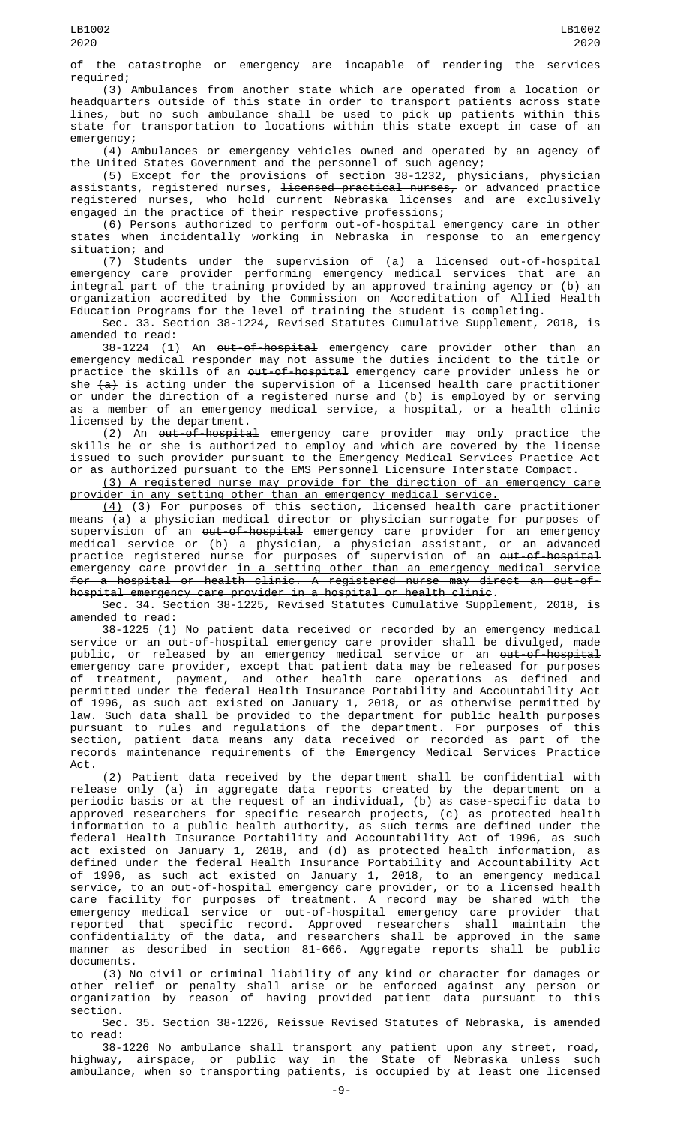of the catastrophe or emergency are incapable of rendering the services required;

(3) Ambulances from another state which are operated from a location or headquarters outside of this state in order to transport patients across state lines, but no such ambulance shall be used to pick up patients within this state for transportation to locations within this state except in case of an emergency;

(4) Ambulances or emergency vehicles owned and operated by an agency of the United States Government and the personnel of such agency;

(5) Except for the provisions of section 38-1232, physicians, physician assistants, registered nurses, <del>licensed practical nurses,</del> or advanced practice registered nurses, who hold current Nebraska licenses and are exclusively engaged in the practice of their respective professions;

(6) Persons authorized to perform <del>out-of-hospital</del> emergency care in other states when incidentally working in Nebraska in response to an emergency situation; and

(7) Students under the supervision of (a) a licensed <del>out-of-hospital</del> emergency care provider performing emergency medical services that are an integral part of the training provided by an approved training agency or (b) an organization accredited by the Commission on Accreditation of Allied Health Education Programs for the level of training the student is completing.

Sec. 33. Section 38-1224, Revised Statutes Cumulative Supplement, 2018, is amended to read:

38-1224 (1) An <del>out-of-hospital</del> emergency care provider other than an emergency medical responder may not assume the duties incident to the title or practice the skills of an out-of-hospital emergency care provider unless he or she  $(a)$  is acting under the supervision of a licensed health care practitioner or under the direction of a registered nurse and (b) is employed by or serving as a member of an emergency medical service, a hospital, or a health clinic licensed by the department.

(2) An out-of-hospital emergency care provider may only practice the skills he or she is authorized to employ and which are covered by the license issued to such provider pursuant to the Emergency Medical Services Practice Act or as authorized pursuant to the EMS Personnel Licensure Interstate Compact.

(3) A registered nurse may provide for the direction of an emergency care provider in any setting other than an emergency medical service.

 $(4)$   $(3)$  For purposes of this section, licensed health care practitioner means (a) a physician medical director or physician surrogate for purposes of supervision of an <del>out-of-hospital</del> emergency care provider for an emergency medical service or (b) a physician, a physician assistant, or an advanced practice registered nurse for purposes of supervision of an <del>out-of-hospital</del> emergency care provider <u>in a setting other than an emergency medical service</u> for a hospital or health clinic. A registered nurse may direct an out-ofhospital emergency care provider in a hospital or health clinic.

Sec. 34. Section 38-1225, Revised Statutes Cumulative Supplement, 2018, is amended to read:

38-1225 (1) No patient data received or recorded by an emergency medical service or an <del>out-of-hospital</del> emergency care provider shall be divulged, made public, or released by an emergency medical service or an <del>out-of-hospital</del> emergency care provider, except that patient data may be released for purposes of treatment, payment, and other health care operations as defined and permitted under the federal Health Insurance Portability and Accountability Act of 1996, as such act existed on January 1, 2018, or as otherwise permitted by law. Such data shall be provided to the department for public health purposes pursuant to rules and regulations of the department. For purposes of this section, patient data means any data received or recorded as part of the records maintenance requirements of the Emergency Medical Services Practice Act.

(2) Patient data received by the department shall be confidential with release only (a) in aggregate data reports created by the department on a periodic basis or at the request of an individual, (b) as case-specific data to approved researchers for specific research projects, (c) as protected health information to a public health authority, as such terms are defined under the federal Health Insurance Portability and Accountability Act of 1996, as such act existed on January 1, 2018, and (d) as protected health information, as defined under the federal Health Insurance Portability and Accountability Act of 1996, as such act existed on January 1, 2018, to an emergency medical service, to an <del>out-of-hospital</del> emergency care provider, or to a licensed health care facility for purposes of treatment. A record may be shared with the emergency medical service or <del>out-of-hospital</del> emergency care provider that reported that specific record. Approved researchers shall maintain the confidentiality of the data, and researchers shall be approved in the same manner as described in section 81-666. Aggregate reports shall be public documents.

(3) No civil or criminal liability of any kind or character for damages or other relief or penalty shall arise or be enforced against any person or organization by reason of having provided patient data pursuant to this section.

Sec. 35. Section 38-1226, Reissue Revised Statutes of Nebraska, is amended to read:

38-1226 No ambulance shall transport any patient upon any street, road, highway, airspace, or public way in the State of Nebraska unless such ambulance, when so transporting patients, is occupied by at least one licensed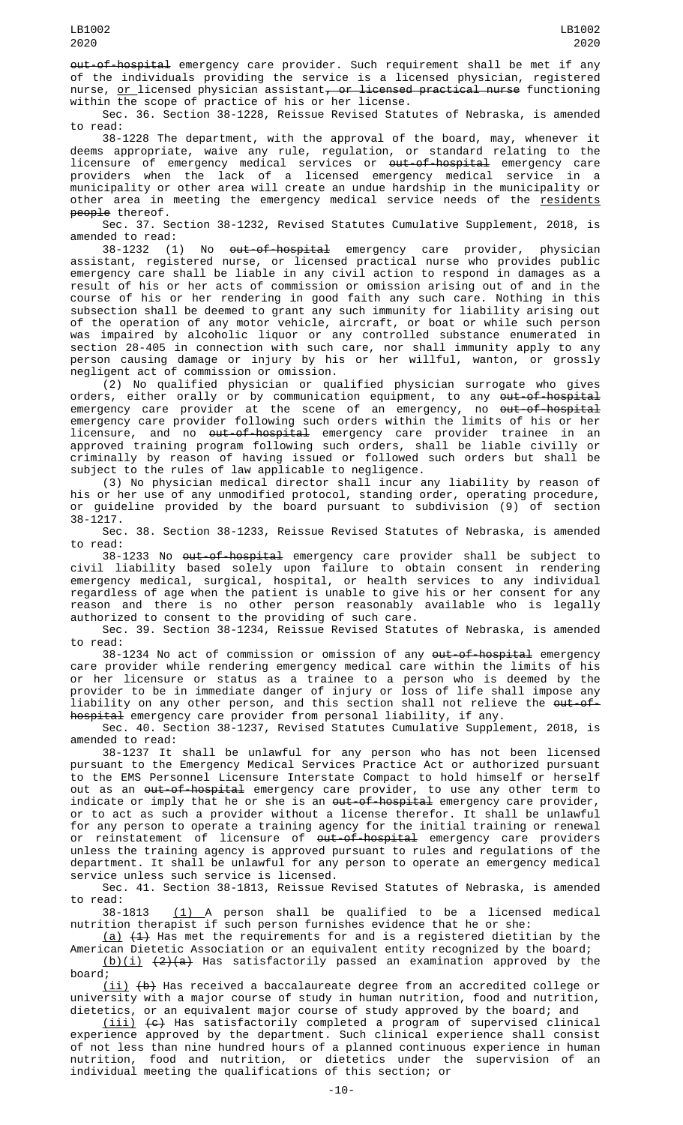out-of-hospital emergency care provider. Such requirement shall be met if any of the individuals providing the service is a licensed physician, registered nurse,  $or 1$ icensed physician assistant, or licensed practical nurse functioning</u> within the scope of practice of his or her license.

Sec. 36. Section 38-1228, Reissue Revised Statutes of Nebraska, is amended to read:

38-1228 The department, with the approval of the board, may, whenever it deems appropriate, waive any rule, regulation, or standard relating to the licensure of emergency medical services or <del>out-of-hospital</del> emergency care providers when the lack of a licensed emergency medical service in a municipality or other area will create an undue hardship in the municipality or other area in meeting the emergency medical service needs of the <u>residents</u> people thereof.

Sec. 37. Section 38-1232, Revised Statutes Cumulative Supplement, 2018, is amended to read:

38-1232 (1) No <del>out-of-hospital</del> emergency care provider, physician assistant, registered nurse, or licensed practical nurse who provides public emergency care shall be liable in any civil action to respond in damages as a result of his or her acts of commission or omission arising out of and in the course of his or her rendering in good faith any such care. Nothing in this subsection shall be deemed to grant any such immunity for liability arising out of the operation of any motor vehicle, aircraft, or boat or while such person was impaired by alcoholic liquor or any controlled substance enumerated in section 28-405 in connection with such care, nor shall immunity apply to any person causing damage or injury by his or her willful, wanton, or grossly negligent act of commission or omission.

(2) No qualified physician or qualified physician surrogate who gives orders, either orally or by communication equipment, to any <del>out-of-hospital</del> emergency care provider at the scene of an emergency, no <del>out-of-hospital</del> emergency care provider following such orders within the limits of his or her licensure, and no <del>out-of-hospital</del> emergency care provider trainee in an approved training program following such orders, shall be liable civilly or criminally by reason of having issued or followed such orders but shall be subject to the rules of law applicable to negligence.

(3) No physician medical director shall incur any liability by reason of his or her use of any unmodified protocol, standing order, operating procedure, or guideline provided by the board pursuant to subdivision (9) of section 38-1217.

Sec. 38. Section 38-1233, Reissue Revised Statutes of Nebraska, is amended to read:

38-1233 No <del>out-of-hospital</del> emergency care provider shall be subject to civil liability based solely upon failure to obtain consent in rendering emergency medical, surgical, hospital, or health services to any individual regardless of age when the patient is unable to give his or her consent for any reason and there is no other person reasonably available who is legally authorized to consent to the providing of such care.

Sec. 39. Section 38-1234, Reissue Revised Statutes of Nebraska, is amended to read:

38-1234 No act of commission or omission of any out-of-hospital emergency care provider while rendering emergency medical care within the limits of his or her licensure or status as a trainee to a person who is deemed by the provider to be in immediate danger of injury or loss of life shall impose any liability on any other person, and this section shall not relieve the <del>out-of-</del> hospital emergency care provider from personal liability, if any.

Sec. 40. Section 38-1237, Revised Statutes Cumulative Supplement, 2018, is amended to read:

38-1237 It shall be unlawful for any person who has not been licensed pursuant to the Emergency Medical Services Practice Act or authorized pursuant to the EMS Personnel Licensure Interstate Compact to hold himself or herself out as an <del>out-of-hospital</del> emergency care provider, to use any other term to indicate or imply that he or she is an out-of-hospital emergency care provider, or to act as such a provider without a license therefor. It shall be unlawful for any person to operate a training agency for the initial training or renewal or reinstatement of licensure of <del>out-of-hospital</del> emergency care providers unless the training agency is approved pursuant to rules and regulations of the department. It shall be unlawful for any person to operate an emergency medical service unless such service is licensed.

Sec. 41. Section 38-1813, Reissue Revised Statutes of Nebraska, is amended to read:

38-1813 <u>(1) A</u> person shall be qualified to be a licensed medical nutrition therapist if such person furnishes evidence that he or she:

 $(a)$   $(1)$  Has met the requirements for and is a registered dietitian by the American Dietetic Association or an equivalent entity recognized by the board;  $(b)(i)$   $(2)(a)$  Has satisfactorily passed an examination approved by the

board; (ii) (b) Has received a baccalaureate degree from an accredited college or

university with a major course of study in human nutrition, food and nutrition, dietetics, or an equivalent major course of study approved by the board; and

(iii) (c) Has satisfactorily completed a program of supervised clinical experience approved by the department. Such clinical experience shall consist of not less than nine hundred hours of a planned continuous experience in human nutrition, food and nutrition, or dietetics under the supervision of an individual meeting the qualifications of this section; or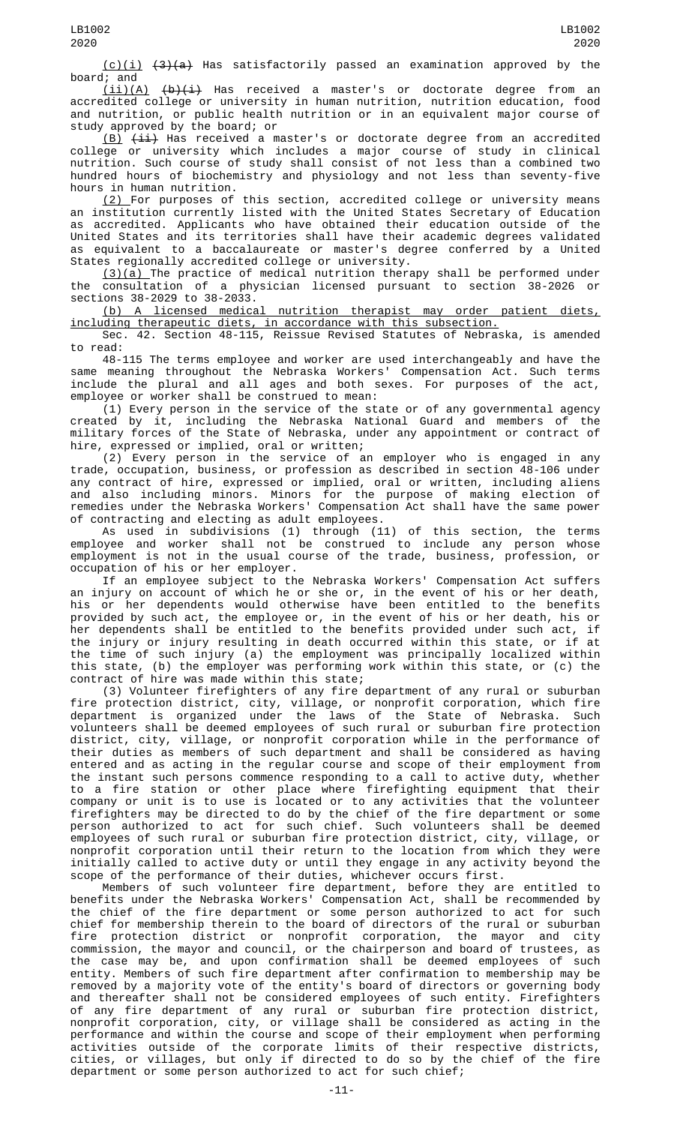(c)(i) (3)(a) Has satisfactorily passed an examination approved by the

board; and<br> $(iii)(A)$  $\frac{b}{i}$  Has received a master's or doctorate degree from an accredited college or university in human nutrition, nutrition education, food and nutrition, or public health nutrition or in an equivalent major course of study approved by the board; or

 $(B)$   $(iii)$  Has received a master's or doctorate degree from an accredited college or university which includes a major course of study in clinical nutrition. Such course of study shall consist of not less than a combined two hundred hours of biochemistry and physiology and not less than seventy-five hours in human nutrition.

(2) For purposes of this section, accredited college or university means an institution currently listed with the United States Secretary of Education as accredited. Applicants who have obtained their education outside of the United States and its territories shall have their academic degrees validated as equivalent to a baccalaureate or master's degree conferred by a United States regionally accredited college or university.

(3)(a) The practice of medical nutrition therapy shall be performed under the consultation of a physician licensed pursuant to section 38-2026 or

sections 38-2029 to 38-2033.<br>(b) A licensed medical nutrition therapist may order patient diets, including therapeutic diets, in accordance with this subsection.

Sec. 42. Section 48-115, Reissue Revised Statutes of Nebraska, is amended to read:

48-115 The terms employee and worker are used interchangeably and have the same meaning throughout the Nebraska Workers' Compensation Act. Such terms include the plural and all ages and both sexes. For purposes of the act, employee or worker shall be construed to mean:

(1) Every person in the service of the state or of any governmental agency created by it, including the Nebraska National Guard and members of the military forces of the State of Nebraska, under any appointment or contract of hire, expressed or implied, oral or written;

(2) Every person in the service of an employer who is engaged in any trade, occupation, business, or profession as described in section 48-106 under any contract of hire, expressed or implied, oral or written, including aliens and also including minors. Minors for the purpose of making election of remedies under the Nebraska Workers' Compensation Act shall have the same power of contracting and electing as adult employees.

As used in subdivisions (1) through (11) of this section, the terms employee and worker shall not be construed to include any person whose employment is not in the usual course of the trade, business, profession, or occupation of his or her employer.

If an employee subject to the Nebraska Workers' Compensation Act suffers an injury on account of which he or she or, in the event of his or her death, his or her dependents would otherwise have been entitled to the benefits provided by such act, the employee or, in the event of his or her death, his or her dependents shall be entitled to the benefits provided under such act, if the injury or injury resulting in death occurred within this state, or if at the time of such injury (a) the employment was principally localized within this state, (b) the employer was performing work within this state, or (c) the contract of hire was made within this state;

(3) Volunteer firefighters of any fire department of any rural or suburban fire protection district, city, village, or nonprofit corporation, which fire department is organized under the laws of the State of Nebraska. Such volunteers shall be deemed employees of such rural or suburban fire protection district, city, village, or nonprofit corporation while in the performance of their duties as members of such department and shall be considered as having entered and as acting in the regular course and scope of their employment from the instant such persons commence responding to a call to active duty, whether to a fire station or other place where firefighting equipment that their company or unit is to use is located or to any activities that the volunteer firefighters may be directed to do by the chief of the fire department or some person authorized to act for such chief. Such volunteers shall be deemed employees of such rural or suburban fire protection district, city, village, or nonprofit corporation until their return to the location from which they were initially called to active duty or until they engage in any activity beyond the scope of the performance of their duties, whichever occurs first.

Members of such volunteer fire department, before they are entitled to benefits under the Nebraska Workers' Compensation Act, shall be recommended by the chief of the fire department or some person authorized to act for such chief for membership therein to the board of directors of the rural or suburban fire protection district or nonprofit corporation, the mayor and city commission, the mayor and council, or the chairperson and board of trustees, as the case may be, and upon confirmation shall be deemed employees of such entity. Members of such fire department after confirmation to membership may be removed by a majority vote of the entity's board of directors or governing body and thereafter shall not be considered employees of such entity. Firefighters of any fire department of any rural or suburban fire protection district, nonprofit corporation, city, or village shall be considered as acting in the performance and within the course and scope of their employment when performing activities outside of the corporate limits of their respective districts, cities, or villages, but only if directed to do so by the chief of the fire department or some person authorized to act for such chief;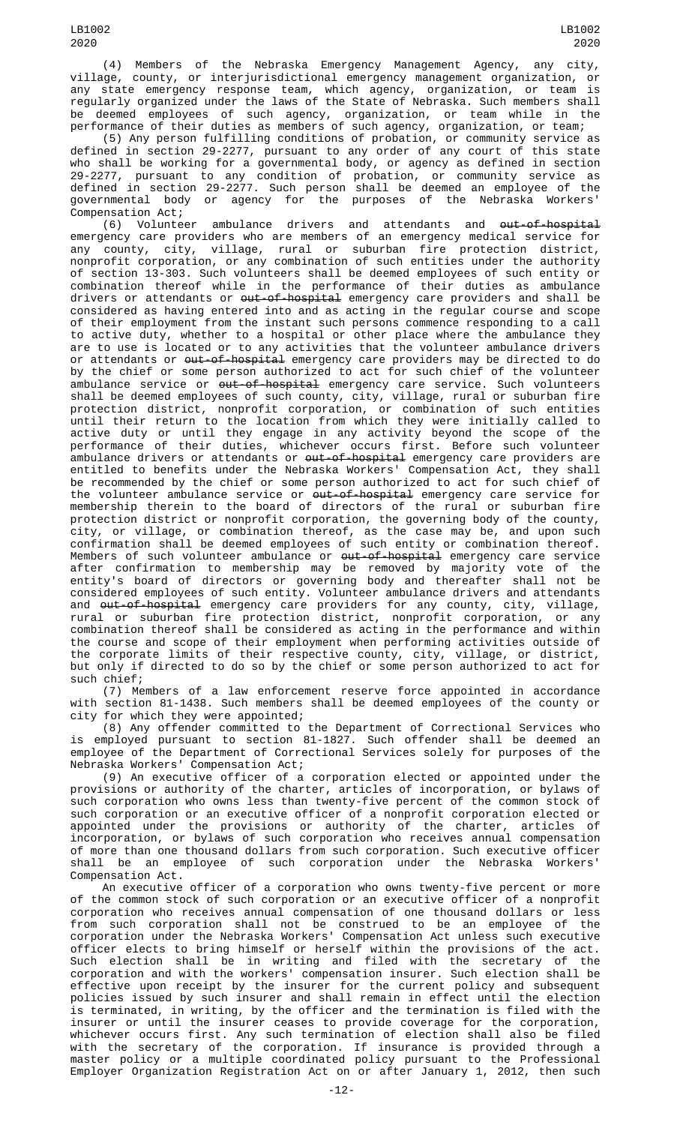(4) Members of the Nebraska Emergency Management Agency, any city, village, county, or interjurisdictional emergency management organization, or any state emergency response team, which agency, organization, or team is regularly organized under the laws of the State of Nebraska. Such members shall be deemed employees of such agency, organization, or team while in the performance of their duties as members of such agency, organization, or team;

(5) Any person fulfilling conditions of probation, or community service as defined in section 29-2277, pursuant to any order of any court of this state who shall be working for a governmental body, or agency as defined in section 29-2277, pursuant to any condition of probation, or community service as defined in section 29-2277. Such person shall be deemed an employee of the governmental body or agency for the purposes of the Nebraska Workers' Compensation Act;

(6) Volunteer ambulance drivers and attendants and <del>out-of-hospital</del> emergency care providers who are members of an emergency medical service for any county, city, village, rural or suburban fire protection district, nonprofit corporation, or any combination of such entities under the authority of section 13-303. Such volunteers shall be deemed employees of such entity or combination thereof while in the performance of their duties as ambulance drivers or attendants or <del>out-of-hospital</del> emergency care providers and shall be considered as having entered into and as acting in the regular course and scope of their employment from the instant such persons commence responding to a call to active duty, whether to a hospital or other place where the ambulance they are to use is located or to any activities that the volunteer ambulance drivers or attendants or <del>out-of-hospital</del> emergency care providers may be directed to do by the chief or some person authorized to act for such chief of the volunteer ambulance service or <del>out-of-hospital</del> emergency care service. Such volunteers shall be deemed employees of such county, city, village, rural or suburban fire protection district, nonprofit corporation, or combination of such entities until their return to the location from which they were initially called to active duty or until they engage in any activity beyond the scope of the performance of their duties, whichever occurs first. Before such volunteer ambulance drivers or attendants or <del>out-of-hospital</del> emergency care providers are entitled to benefits under the Nebraska Workers' Compensation Act, they shall be recommended by the chief or some person authorized to act for such chief of the volunteer ambulance service or <del>out-of-hospital</del> emergency care service for membership therein to the board of directors of the rural or suburban fire protection district or nonprofit corporation, the governing body of the county, city, or village, or combination thereof, as the case may be, and upon such confirmation shall be deemed employees of such entity or combination thereof. Members of such volunteer ambulance or <del>out-of-hospital</del> emergency care service after confirmation to membership may be removed by majority vote of the entity's board of directors or governing body and thereafter shall not be considered employees of such entity. Volunteer ambulance drivers and attendants and <del>out-of-hospital</del> emergency care providers for any county, city, village, rural or suburban fire protection district, nonprofit corporation, or any combination thereof shall be considered as acting in the performance and within the course and scope of their employment when performing activities outside of the corporate limits of their respective county, city, village, or district, but only if directed to do so by the chief or some person authorized to act for such chief;

(7) Members of a law enforcement reserve force appointed in accordance with section 81-1438. Such members shall be deemed employees of the county or city for which they were appointed;

(8) Any offender committed to the Department of Correctional Services who is employed pursuant to section 81-1827. Such offender shall be deemed an employee of the Department of Correctional Services solely for purposes of the Nebraska Workers' Compensation Act;

(9) An executive officer of a corporation elected or appointed under the provisions or authority of the charter, articles of incorporation, or bylaws of such corporation who owns less than twenty-five percent of the common stock of such corporation or an executive officer of a nonprofit corporation elected or appointed under the provisions or authority of the charter, articles of incorporation, or bylaws of such corporation who receives annual compensation of more than one thousand dollars from such corporation. Such executive officer shall be an employee of such corporation under the Nebraska Workers' Compensation Act.

An executive officer of a corporation who owns twenty-five percent or more of the common stock of such corporation or an executive officer of a nonprofit corporation who receives annual compensation of one thousand dollars or less from such corporation shall not be construed to be an employee of the corporation under the Nebraska Workers' Compensation Act unless such executive officer elects to bring himself or herself within the provisions of the act. Such election shall be in writing and filed with the secretary of the corporation and with the workers' compensation insurer. Such election shall be effective upon receipt by the insurer for the current policy and subsequent policies issued by such insurer and shall remain in effect until the election is terminated, in writing, by the officer and the termination is filed with the insurer or until the insurer ceases to provide coverage for the corporation, whichever occurs first. Any such termination of election shall also be filed with the secretary of the corporation. If insurance is provided through a master policy or a multiple coordinated policy pursuant to the Professional Employer Organization Registration Act on or after January 1, 2012, then such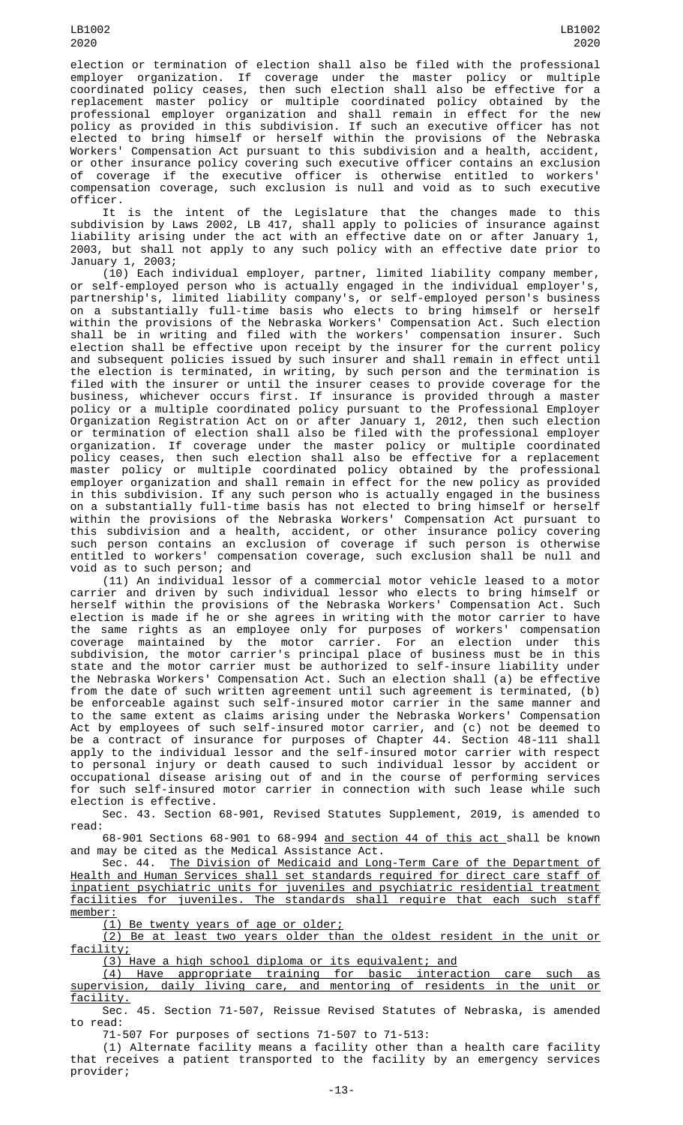election or termination of election shall also be filed with the professional employer organization. If coverage under the master policy or multiple coordinated policy ceases, then such election shall also be effective for a replacement master policy or multiple coordinated policy obtained by the professional employer organization and shall remain in effect for the new policy as provided in this subdivision. If such an executive officer has not elected to bring himself or herself within the provisions of the Nebraska Workers' Compensation Act pursuant to this subdivision and a health, accident, or other insurance policy covering such executive officer contains an exclusion of coverage if the executive officer is otherwise entitled to workers' compensation coverage, such exclusion is null and void as to such executive officer.

It is the intent of the Legislature that the changes made to this subdivision by Laws 2002, LB 417, shall apply to policies of insurance against liability arising under the act with an effective date on or after January 1, 2003, but shall not apply to any such policy with an effective date prior to January 1, 2003;

(10) Each individual employer, partner, limited liability company member, or self-employed person who is actually engaged in the individual employer's, partnership's, limited liability company's, or self-employed person's business on a substantially full-time basis who elects to bring himself or herself within the provisions of the Nebraska Workers' Compensation Act. Such election shall be in writing and filed with the workers' compensation insurer. Such election shall be effective upon receipt by the insurer for the current policy and subsequent policies issued by such insurer and shall remain in effect until the election is terminated, in writing, by such person and the termination is filed with the insurer or until the insurer ceases to provide coverage for the business, whichever occurs first. If insurance is provided through a master policy or a multiple coordinated policy pursuant to the Professional Employer Organization Registration Act on or after January 1, 2012, then such election or termination of election shall also be filed with the professional employer organization. If coverage under the master policy or multiple coordinated policy ceases, then such election shall also be effective for a replacement master policy or multiple coordinated policy obtained by the professional employer organization and shall remain in effect for the new policy as provided in this subdivision. If any such person who is actually engaged in the business on a substantially full-time basis has not elected to bring himself or herself within the provisions of the Nebraska Workers' Compensation Act pursuant to this subdivision and a health, accident, or other insurance policy covering such person contains an exclusion of coverage if such person is otherwise entitled to workers' compensation coverage, such exclusion shall be null and void as to such person; and

(11) An individual lessor of a commercial motor vehicle leased to a motor carrier and driven by such individual lessor who elects to bring himself or herself within the provisions of the Nebraska Workers' Compensation Act. Such election is made if he or she agrees in writing with the motor carrier to have the same rights as an employee only for purposes of workers' compensation coverage maintained by the motor carrier. For an election under this subdivision, the motor carrier's principal place of business must be in this state and the motor carrier must be authorized to self-insure liability under the Nebraska Workers' Compensation Act. Such an election shall (a) be effective from the date of such written agreement until such agreement is terminated, (b) be enforceable against such self-insured motor carrier in the same manner and to the same extent as claims arising under the Nebraska Workers' Compensation Act by employees of such self-insured motor carrier, and (c) not be deemed to be a contract of insurance for purposes of Chapter 44. Section 48-111 shall apply to the individual lessor and the self-insured motor carrier with respect to personal injury or death caused to such individual lessor by accident or occupational disease arising out of and in the course of performing services for such self-insured motor carrier in connection with such lease while such election is effective.

Sec. 43. Section 68-901, Revised Statutes Supplement, 2019, is amended to read:

68-901 Sections 68-901 to 68-994 and section 44 of this act shall be known and may be cited as the Medical Assistance Act.

Sec. 44. The Division of Medicaid and Long-Term Care of the Department of Health and Human Services shall set standards required for direct care staff of inpatient psychiatric units for juveniles and psychiatric residential treatment<br>facilities for juveniles. The standards shall require that each such staff The standards shall require that each such staff member:

(1) Be twenty years of age or older;

(2) Be at least two years older than the oldest resident in the unit or facility;

(3) Have a high school diploma or its equivalent; and

(4) Have appropriate training for basic interaction care such as supervision, daily living care, and mentoring of residents in the unit or facility.

Sec. 45. Section 71-507, Reissue Revised Statutes of Nebraska, is amended to read:

71-507 For purposes of sections 71-507 to 71-513:

(1) Alternate facility means a facility other than a health care facility that receives a patient transported to the facility by an emergency services provider;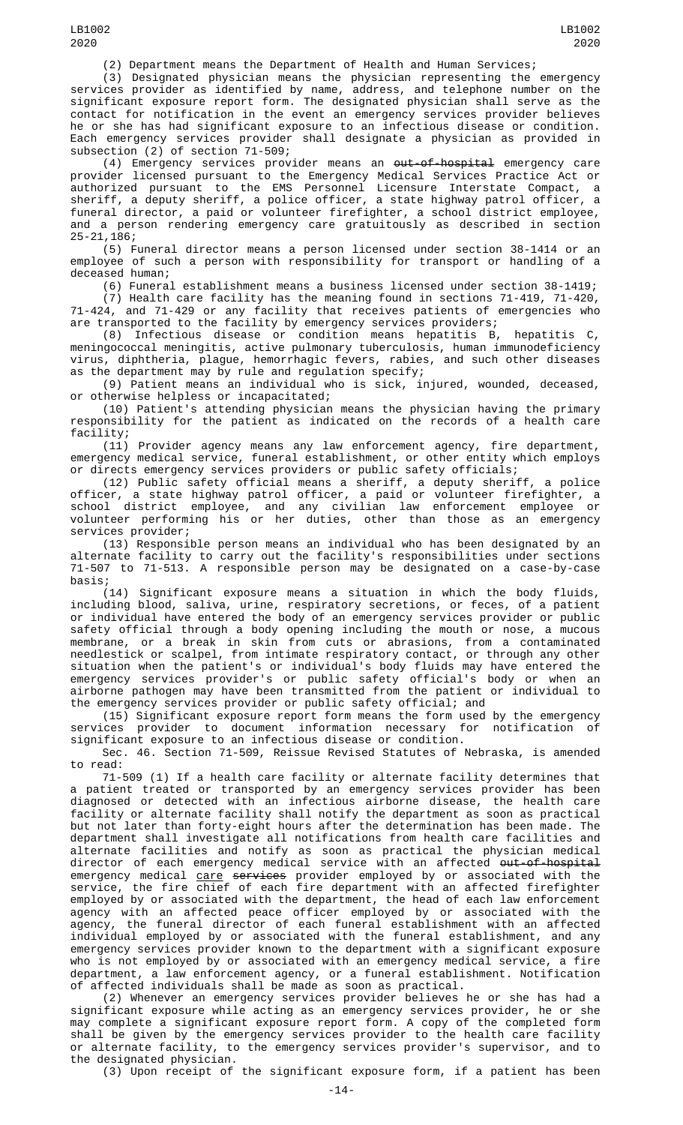(2) Department means the Department of Health and Human Services;

(3) Designated physician means the physician representing the emergency services provider as identified by name, address, and telephone number on the significant exposure report form. The designated physician shall serve as the contact for notification in the event an emergency services provider believes he or she has had significant exposure to an infectious disease or condition. Each emergency services provider shall designate a physician as provided in subsection (2) of section 71-509;

(4) Emergency services provider means an out-of-hospital emergency care provider licensed pursuant to the Emergency Medical Services Practice Act or authorized pursuant to the EMS Personnel Licensure Interstate Compact, a sheriff, a deputy sheriff, a police officer, a state highway patrol officer, a funeral director, a paid or volunteer firefighter, a school district employee, and a person rendering emergency care gratuitously as described in section 25-21,186;

(5) Funeral director means a person licensed under section 38-1414 or an employee of such a person with responsibility for transport or handling of a deceased human;

(6) Funeral establishment means a business licensed under section 38-1419;

(7) Health care facility has the meaning found in sections 71-419, 71-420, 71-424, and 71-429 or any facility that receives patients of emergencies who are transported to the facility by emergency services providers;

(8) Infectious disease or condition means hepatitis B, hepatitis C, meningococcal meningitis, active pulmonary tuberculosis, human immunodeficiency virus, diphtheria, plague, hemorrhagic fevers, rabies, and such other diseases as the department may by rule and regulation specify;

(9) Patient means an individual who is sick, injured, wounded, deceased, or otherwise helpless or incapacitated;

(10) Patient's attending physician means the physician having the primary responsibility for the patient as indicated on the records of a health care facility;

(11) Provider agency means any law enforcement agency, fire department, emergency medical service, funeral establishment, or other entity which employs or directs emergency services providers or public safety officials;

(12) Public safety official means a sheriff, a deputy sheriff, a police officer, a state highway patrol officer, a paid or volunteer firefighter, a school district employee, and any civilian law enforcement employee or volunteer performing his or her duties, other than those as an emergency services provider;

(13) Responsible person means an individual who has been designated by an alternate facility to carry out the facility's responsibilities under sections 71-507 to 71-513. A responsible person may be designated on a case-by-case basis;

(14) Significant exposure means a situation in which the body fluids, including blood, saliva, urine, respiratory secretions, or feces, of a patient or individual have entered the body of an emergency services provider or public safety official through a body opening including the mouth or nose, a mucous membrane, or a break in skin from cuts or abrasions, from a contaminated needlestick or scalpel, from intimate respiratory contact, or through any other situation when the patient's or individual's body fluids may have entered the emergency services provider's or public safety official's body or when an airborne pathogen may have been transmitted from the patient or individual to the emergency services provider or public safety official; and

(15) Significant exposure report form means the form used by the emergency services provider to document information necessary for notification of significant exposure to an infectious disease or condition.

Sec. 46. Section 71-509, Reissue Revised Statutes of Nebraska, is amended to read:

71-509 (1) If a health care facility or alternate facility determines that a patient treated or transported by an emergency services provider has been diagnosed or detected with an infectious airborne disease, the health care facility or alternate facility shall notify the department as soon as practical but not later than forty-eight hours after the determination has been made. The department shall investigate all notifications from health care facilities and alternate facilities and notify as soon as practical the physician medical director of each emergency medical service with an affected <del>out-of-hospital</del> emergency medical <u>care</u> <del>services</del> provider employed by or associated with the service, the fire chief of each fire department with an affected firefighter employed by or associated with the department, the head of each law enforcement agency with an affected peace officer employed by or associated with the agency, the funeral director of each funeral establishment with an affected individual employed by or associated with the funeral establishment, and any emergency services provider known to the department with a significant exposure who is not employed by or associated with an emergency medical service, a fire department, a law enforcement agency, or a funeral establishment. Notification of affected individuals shall be made as soon as practical.

(2) Whenever an emergency services provider believes he or she has had a significant exposure while acting as an emergency services provider, he or she may complete a significant exposure report form. A copy of the completed form shall be given by the emergency services provider to the health care facility or alternate facility, to the emergency services provider's supervisor, and to the designated physician.

(3) Upon receipt of the significant exposure form, if a patient has been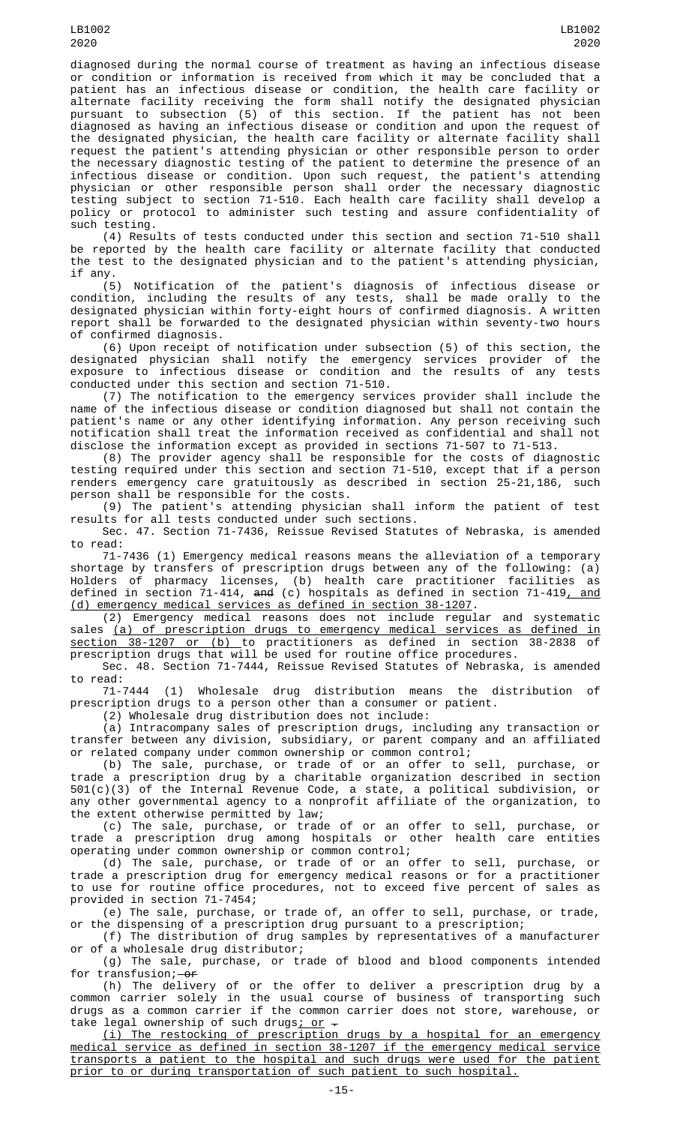diagnosed during the normal course of treatment as having an infectious disease or condition or information is received from which it may be concluded that a patient has an infectious disease or condition, the health care facility or alternate facility receiving the form shall notify the designated physician pursuant to subsection (5) of this section. If the patient has not been diagnosed as having an infectious disease or condition and upon the request of the designated physician, the health care facility or alternate facility shall request the patient's attending physician or other responsible person to order the necessary diagnostic testing of the patient to determine the presence of an infectious disease or condition. Upon such request, the patient's attending physician or other responsible person shall order the necessary diagnostic testing subject to section 71-510. Each health care facility shall develop a policy or protocol to administer such testing and assure confidentiality of such testing.

(4) Results of tests conducted under this section and section 71-510 shall be reported by the health care facility or alternate facility that conducted the test to the designated physician and to the patient's attending physician, if any.

(5) Notification of the patient's diagnosis of infectious disease or condition, including the results of any tests, shall be made orally to the designated physician within forty-eight hours of confirmed diagnosis. A written report shall be forwarded to the designated physician within seventy-two hours of confirmed diagnosis.

(6) Upon receipt of notification under subsection (5) of this section, the designated physician shall notify the emergency services provider of the exposure to infectious disease or condition and the results of any tests conducted under this section and section 71-510.

(7) The notification to the emergency services provider shall include the name of the infectious disease or condition diagnosed but shall not contain the patient's name or any other identifying information. Any person receiving such notification shall treat the information received as confidential and shall not disclose the information except as provided in sections 71-507 to 71-513.

(8) The provider agency shall be responsible for the costs of diagnostic testing required under this section and section 71-510, except that if a person renders emergency care gratuitously as described in section 25-21,186, such person shall be responsible for the costs.

(9) The patient's attending physician shall inform the patient of test results for all tests conducted under such sections.

Sec. 47. Section 71-7436, Reissue Revised Statutes of Nebraska, is amended to read:

71-7436 (1) Emergency medical reasons means the alleviation of a temporary shortage by transfers of prescription drugs between any of the following: (a) Holders of pharmacy licenses, (b) health care practitioner facilities as defined in section 71-414, <del>and</del> (c) hospitals as defined in section 71-419<u>, and</u> (d) emergency medical services as defined in section 38-1207.

(2) Emergency medical reasons does not include regular and systematic sales (a) of prescription drugs to emergency medical services as defined in <u>section 38-1207 or (b) t</u>o practitioners as defined in section 38-2838 of prescription drugs that will be used for routine office procedures.

Sec. 48. Section 71-7444, Reissue Revised Statutes of Nebraska, is amended to read:

71-7444 (1) Wholesale drug distribution means the distribution of prescription drugs to a person other than a consumer or patient.

(2) Wholesale drug distribution does not include:

(a) Intracompany sales of prescription drugs, including any transaction or transfer between any division, subsidiary, or parent company and an affiliated or related company under common ownership or common control;

(b) The sale, purchase, or trade of or an offer to sell, purchase, or trade a prescription drug by a charitable organization described in section 501(c)(3) of the Internal Revenue Code, a state, a political subdivision, or any other governmental agency to a nonprofit affiliate of the organization, to the extent otherwise permitted by law;

(c) The sale, purchase, or trade of or an offer to sell, purchase, or trade a prescription drug among hospitals or other health care entities operating under common ownership or common control;

(d) The sale, purchase, or trade of or an offer to sell, purchase, or trade a prescription drug for emergency medical reasons or for a practitioner to use for routine office procedures, not to exceed five percent of sales as provided in section 71-7454;

(e) The sale, purchase, or trade of, an offer to sell, purchase, or trade, or the dispensing of a prescription drug pursuant to a prescription;

(f) The distribution of drug samples by representatives of a manufacturer or of a wholesale drug distributor;

(g) The sale, purchase, or trade of blood and blood components intended for transfusion; $-0f$ 

(h) The delivery of or the offer to deliver a prescription drug by a common carrier solely in the usual course of business of transporting such drugs as a common carrier if the common carrier does not store, warehouse, or take legal ownership of such drugs; or  $-$ 

(i) The restocking of prescription drugs by a hospital for an emergency medical service as defined in section 38-1207 if the emergency medical service transports a patient to the hospital and such drugs were used for the patient prior to or during transportation of such patient to such hospital.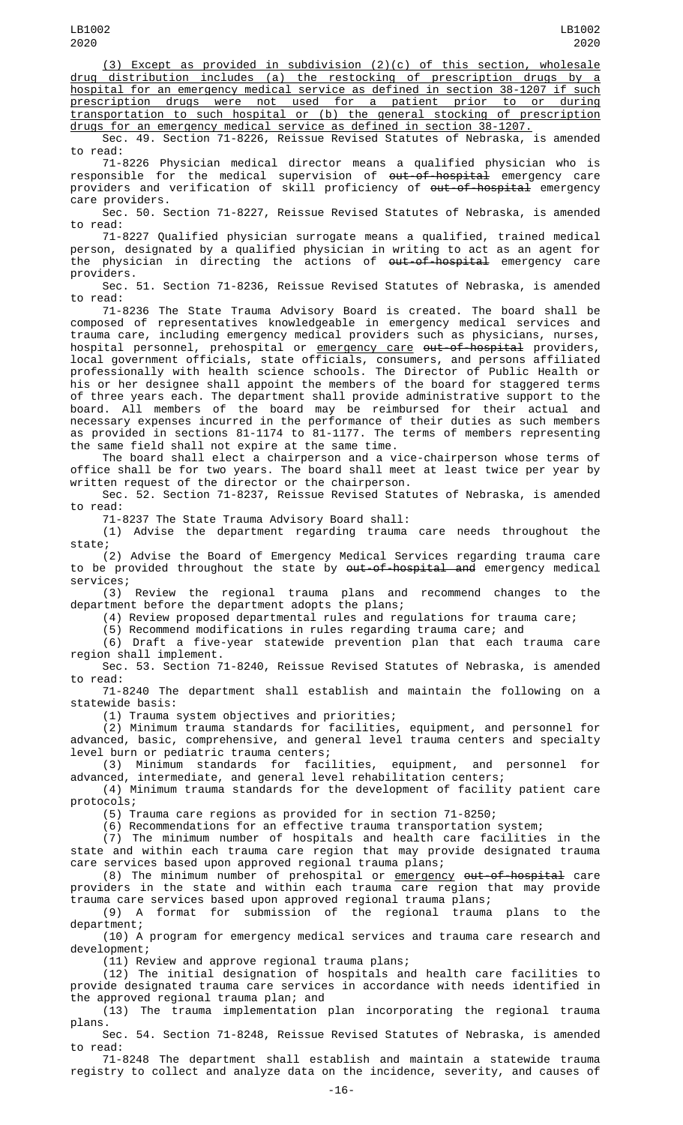(3) Except as provided in subdivision (2)(c) of this section, wholesale drug distribution includes (a) the restocking of prescription drugs by a hospital for an emergency medical service as defined in section 38-1207 if such prescription drugs were not used for a patient prior to or during transportation to such hospital or (b) the general stocking of prescription drugs for an emergency medical service as defined in section 38-1207.

Sec. 49. Section 71-8226, Reissue Revised Statutes of Nebraska, is amended to read:

71-8226 Physician medical director means a qualified physician who is responsible for the medical supervision of  $\omega t$ -of-hospital emergency care providers and verification of skill proficiency of out-of-hospital emergency care providers.

Sec. 50. Section 71-8227, Reissue Revised Statutes of Nebraska, is amended to read:

71-8227 Qualified physician surrogate means a qualified, trained medical person, designated by a qualified physician in writing to act as an agent for the physician in directing the actions of  $out-of-hospital$  emergency care providers.

Sec. 51. Section 71-8236, Reissue Revised Statutes of Nebraska, is amended to read:

71-8236 The State Trauma Advisory Board is created. The board shall be composed of representatives knowledgeable in emergency medical services and trauma care, including emergency medical providers such as physicians, nurses, hospital personnel, prehospital or <u>emergency care</u> <del>out-of-hospital</del> providers, local government officials, state officials, consumers, and persons affiliated professionally with health science schools. The Director of Public Health or his or her designee shall appoint the members of the board for staggered terms

of three years each. The department shall provide administrative support to the board. All members of the board may be reimbursed for their actual and necessary expenses incurred in the performance of their duties as such members as provided in sections 81-1174 to 81-1177. The terms of members representing the same field shall not expire at the same time.

The board shall elect a chairperson and a vice-chairperson whose terms of office shall be for two years. The board shall meet at least twice per year by written request of the director or the chairperson.

Sec. 52. Section 71-8237, Reissue Revised Statutes of Nebraska, is amended read:

71-8237 The State Trauma Advisory Board shall:

(1) Advise the department regarding trauma care needs throughout the state;

(2) Advise the Board of Emergency Medical Services regarding trauma care to be provided throughout the state by <del>out-of-hospital and</del> emergency medical services;

(3) Review the regional trauma plans and recommend changes to the department before the department adopts the plans;

(4) Review proposed departmental rules and regulations for trauma care;

(5) Recommend modifications in rules regarding trauma care; and

(6) Draft a five-year statewide prevention plan that each trauma care region shall implement.

Sec. 53. Section 71-8240, Reissue Revised Statutes of Nebraska, is amended to read:

71-8240 The department shall establish and maintain the following on a statewide basis:

(1) Trauma system objectives and priorities;

(2) Minimum trauma standards for facilities, equipment, and personnel for advanced, basic, comprehensive, and general level trauma centers and specialty level burn or pediatric trauma centers;

(3) Minimum standards for facilities, equipment, and personnel for advanced, intermediate, and general level rehabilitation centers;

(4) Minimum trauma standards for the development of facility patient care protocols;

(5) Trauma care regions as provided for in section 71-8250;

(6) Recommendations for an effective trauma transportation system;

(7) The minimum number of hospitals and health care facilities in the state and within each trauma care region that may provide designated trauma care services based upon approved regional trauma plans;

(8) The minimum number of prehospital or emergency out-of-hospital care providers in the state and within each trauma care region that may provide trauma care services based upon approved regional trauma plans;

(9) A format for submission of the regional trauma plans to the department;

(10) A program for emergency medical services and trauma care research and development;

(11) Review and approve regional trauma plans;

(12) The initial designation of hospitals and health care facilities to provide designated trauma care services in accordance with needs identified in the approved regional trauma plan; and

(13) The trauma implementation plan incorporating the regional trauma plans.

Sec. 54. Section 71-8248, Reissue Revised Statutes of Nebraska, is amended to read:

71-8248 The department shall establish and maintain a statewide trauma registry to collect and analyze data on the incidence, severity, and causes of